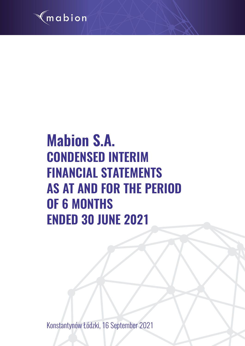

# **Mabion S.A. CONDENSED INTERIM FINANCIAL STATEMENTS AS AT AND FOR THE PERIOD OF 6 MONTHS ENDED 30 JUNE 2021**

Konstantynów Łódzki, 16 September 2021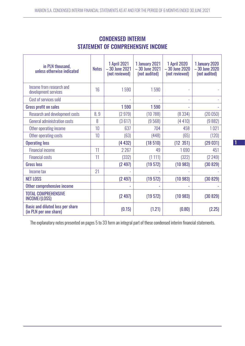| in PLN thousand,<br>unless otherwise indicated                    | <b>Notes</b> | <b>1 April 2021</b><br>$-30$ June 2021<br>(not reviewed) | 1 January 2021<br>$-30$ June 2021<br>(not audited) | <b>1 April 2020</b><br>$-30$ June 2020<br>(not reviewed) | 1 January 2020<br>-30 June 2020<br>(not audited) |
|-------------------------------------------------------------------|--------------|----------------------------------------------------------|----------------------------------------------------|----------------------------------------------------------|--------------------------------------------------|
| Income from research and<br>development services                  | 16           | 1590                                                     | 1590                                               |                                                          |                                                  |
| Cost of services sold                                             |              |                                                          |                                                    | ÷,                                                       |                                                  |
| <b>Gross profit on sales</b>                                      |              | 1590                                                     | 1590                                               |                                                          |                                                  |
| <b>Research and development costs</b>                             | 8,9          | (2979)                                                   | (10788)                                            | (8334)                                                   | (20050)                                          |
| General administration costs                                      | 8            | (3617)                                                   | (9568)                                             | (4410)                                                   | (9882)                                           |
| Other operating income                                            | 10           | 637                                                      | 704                                                | 458                                                      | 1021                                             |
| Other operating costs                                             | 10           | (63)                                                     | (448)                                              | (65)                                                     | (120)                                            |
| <b>Operating loss</b>                                             |              | (4432)                                                   | (18510)                                            | (12 351)                                                 | (29031)                                          |
| <b>Financial income</b>                                           | 11           | 2 2 6 7                                                  | 49                                                 | 1690                                                     | 451                                              |
| <b>Financial costs</b>                                            | 11           | (332)                                                    | (1111)                                             | (322)                                                    | (2 249)                                          |
| <b>Gross loss</b>                                                 |              | (2497)                                                   | (19572)                                            | (10983)                                                  | (30829)                                          |
| Income tax                                                        | 21           |                                                          |                                                    |                                                          |                                                  |
| <b>NET LOSS</b>                                                   |              | (2497)                                                   | (19572)                                            | (10983)                                                  | (30829)                                          |
| Other comprehensive income                                        |              |                                                          |                                                    |                                                          |                                                  |
| <b>TOTAL COMPREHENSIVE</b><br>INCOME/(LOSS)                       |              | (2497)                                                   | (19572)                                            | (10983)                                                  | (30 829)                                         |
| <b>Basic and diluted loss per share</b><br>(in PLN per one share) |              | (0.15)                                                   | (1.21)                                             | (0.80)                                                   | (2.25)                                           |

# CONDENSED INTERIM STATEMENT OF COMPREHENSIVE INCOME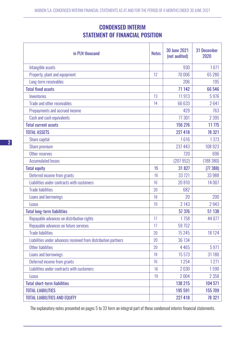# CONDENSED INTERIM STATEMENT OF FINANCIAL POSITION

| in PLN thousand                                                | <b>Notes</b> | <b>30 June 2021</b><br>(not audited) | <b>31 December</b><br>2020 |
|----------------------------------------------------------------|--------------|--------------------------------------|----------------------------|
| Intangible assets                                              |              | 930                                  | 1071                       |
| Property, plant and equipment                                  | 12           | 70 006                               | 65 280                     |
| Long-term receivables                                          |              | 206                                  | 195                        |
| <b>Total fixed assets</b>                                      |              | 71 142                               | 66 546                     |
| Inventories                                                    | 13           | 11913                                | 5976                       |
| Trade and other receivables                                    | 14           | 66 633                               | 2641                       |
| Prepayments and accrued income                                 |              | 429                                  | 763                        |
| Cash and cash equivalents                                      |              | 77 301                               | 2 3 9 5                    |
| <b>Total current assets</b>                                    |              | 156 276                              | 11 775                     |
| <b>TOTAL ASSETS</b>                                            |              | 227 418                              | 78 321                     |
| Share capital                                                  |              | 1616                                 | 1373                       |
| Share premium                                                  |              | 237 443                              | 108 923                    |
| Other reserves                                                 |              | 720                                  | 696                        |
| <b>Accumulated losses</b>                                      |              | (207952)                             | (188 380)                  |
| <b>Total equity</b>                                            | 15           | 31827                                | (77388)                    |
| Deferred income from grants                                    | 16           | 33 7 21                              | 33 988                     |
| Liabilities under contracts with customers                     | 16           | 20810                                | 14 007                     |
| <b>Trade liabilities</b>                                       | 20           | 682                                  |                            |
| Loans and borrowings                                           | 18           | 20                                   | 200                        |
| Lease                                                          | 19           | 2 1 4 3                              | 2943                       |
| <b>Total long-term liabilities</b>                             |              | 57 376                               | 51 138                     |
| Repayable advances on distribution rights                      | 17           | 1758                                 | 44 077                     |
| Repayable advances on future services                          | 17           | 59 7 52                              |                            |
| <b>Trade liabilities</b>                                       | 20           | 15 2 4 5                             | 18 124                     |
| Liabilities under advances received from distribution partners | 20           | 36 134                               |                            |
| <b>Other liabilities</b>                                       | 20           | 4 4 6 5                              | 5971                       |
| Loans and borrowings                                           | 18           | 15 5 73                              | 31 180                     |
| Deferred income from grants                                    | 16           | 1254                                 | 1271                       |
| Liabilities under contracts with customers                     | 16           | 2030                                 | 1590                       |
| Lease                                                          | 19           | 2004                                 | 2 3 5 8                    |
| <b>Total short-term liabilities</b>                            |              | 138 215                              | 104 571                    |
| <b>TOTAL LIABILITIES</b>                                       |              | 195 591                              | 155 709                    |
| <b>TOTAL LIABILITIES AND EQUITY</b>                            |              | 227 418                              | 78 321                     |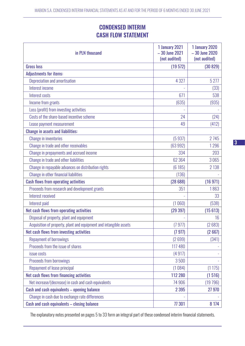# CONDENSED INTERIM CASH FLOW STATEMENT

| in PLN thousand                                                    | 1 January 2021<br>$-30$ June 2021<br>(not audited) | 1 January 2020<br>$-30$ June 2020<br>(not audited) |
|--------------------------------------------------------------------|----------------------------------------------------|----------------------------------------------------|
| <b>Gross loss</b>                                                  | (19572)                                            | (30829)                                            |
| <b>Adjustments for items:</b>                                      |                                                    |                                                    |
| Depreciation and amortisation                                      | 4 3 2 7                                            | 5 2 7 7                                            |
| Interest income                                                    |                                                    | (33)                                               |
| Interest costs                                                     | 671                                                | 538                                                |
| Income from grants                                                 | (635)                                              | (935)                                              |
| Loss (profit) from investing activities                            |                                                    |                                                    |
| Costs of the share-based incentive scheme                          | 24                                                 | (24)                                               |
| Lease payment measurement                                          | 49                                                 | (412)                                              |
| <b>Change in assets and liabilities:</b>                           |                                                    |                                                    |
| <b>Change in inventories</b>                                       | (5937)                                             | 2745                                               |
| Change in trade and other receivables                              | (63992)                                            | 1296                                               |
| Change in prepayments and accrued income                           | 334                                                | 203                                                |
| Change in trade and other liabilities                              | 62 3 64                                            | 3065                                               |
| Change in repayable advances on distribution rights                | (6185)                                             | 2 1 3 8                                            |
| Change in other financial liabilities                              | (136)                                              |                                                    |
| <b>Cash flows from operating activities</b>                        | (28688)                                            | (16 971)                                           |
| Proceeds from research and development grants                      | 351                                                | 1863                                               |
| Interest received                                                  |                                                    | 33                                                 |
| Interest paid                                                      | (1060)                                             | (538)                                              |
| Net cash flows from operating activities                           | (29397)                                            | (15613)                                            |
| Disposal of property, plant and equipment                          |                                                    | 16                                                 |
| Acquisition of property, plant and equipment and intangible assets | (7977)                                             | (2683)                                             |
| Net cash flows from investing activities                           | (7977)                                             | (2667)                                             |
| <b>Repayment of borrowings</b>                                     | (2699)                                             | (341)                                              |
| Proceeds from the issue of shares                                  | 117 480                                            |                                                    |
| issue costs                                                        | (4917)                                             |                                                    |
| Proceeds from borrowings                                           | 3500                                               |                                                    |
| Repayment of lease principal                                       | (1084)                                             | (1175)                                             |
| Net cash flows from financing activities                           | 112 280                                            | (1516)                                             |
| Net increase/(decrease) in cash and cash equivalents               | 74 906                                             | (19796)                                            |
| Cash and cash equivalents - opening balance                        | 2 3 9 5                                            | 27 970                                             |
| Change in cash due to exchange rate differences                    |                                                    |                                                    |
| Cash and cash equivalents - closing balance                        | 77 301                                             | 8 1 7 4                                            |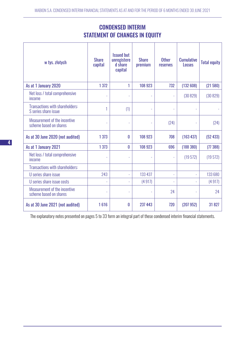| w tys. złotych                                          | <b>Share</b><br>capital | <b>Issued but</b><br>unregistere<br>d share<br>capital | <b>Share</b><br>premium | <b>Other</b><br><b>reserves</b> | <b>Cumulative</b><br><b>Losses</b> | <b>Total equity</b> |
|---------------------------------------------------------|-------------------------|--------------------------------------------------------|-------------------------|---------------------------------|------------------------------------|---------------------|
| As at 1 January 2020                                    | 1 3 7 2                 | 1                                                      | 108 923                 | 732                             | (132608)                           | (21580)             |
| Net loss / total comprehensive<br>income                |                         |                                                        |                         | ÷,                              | (30829)                            | (30829)             |
| Transactions with shareholders:<br>S series share issue |                         | (1)                                                    |                         | $\overline{\phantom{a}}$        |                                    |                     |
| Measurement of the incentive<br>scheme based on shares  |                         |                                                        |                         | (24)                            |                                    | (24)                |
| As at 30 June 2020 (not audited)                        | 1 3 7 3                 | $\mathbf{0}$                                           | 108 923                 | 708                             | (163 437)                          | (52 433)            |
| As at 1 January 2021                                    | 1 3 7 3                 | $\mathbf{0}$                                           | 108 923                 | 696                             | (188 380)                          | (77388)             |
| Net loss / total comprehensive<br>income                |                         |                                                        |                         | ÷,                              | (19572)                            | (19572)             |
| Transactions with shareholders:                         |                         |                                                        |                         |                                 |                                    |                     |
| U series share issue                                    | 243                     |                                                        | 133 437                 | $\overline{\phantom{a}}$        |                                    | 133 680             |
| U series share issue costs                              | L                       | L.                                                     | (4917)                  | $\overline{\phantom{a}}$        |                                    | (4917)              |
| Measurement of the incentive<br>scheme based on shares  |                         |                                                        |                         | 24                              |                                    | 24                  |
| As at 30 June 2021 (not audited)                        | 1616                    | $\mathbf{0}$                                           | 237 443                 | 720                             | (207952)                           | 31 827              |

# CONDENSED INTERIM STATEMENT OF CHANGES IN EQUITY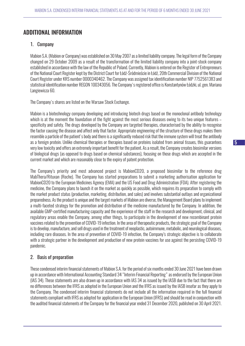# ADDITIONAL INFORMATION

#### 1. Company

Mabion S.A. (Mabion or Company) was established on 30 May 2007 as a limited liability company. The legal form of the Company changed on 29 October 2009 as a result of the transformation of the limited liability company into a joint-stock company established in accordance with the law of the Republic of Poland. Currently, Mabion is entered on the Register of Entrepreneurs of the National Court Register kept by the District Court for Łódź-Śródmieście in Łódź, 20th Commercial Division of the National Court Register under KRS number 0000340462. The Company was assigned tax identification number NIP 7752561383 and statistical identification number REGON 100343056. The Company's registered office is Konstantynów Łódzki, ul. gen. Mariana Langiewicza 60.

The Company's shares are listed on the Warsaw Stock Exchange.

Mabion is a biotechnology company developing and introducing biotech drugs based on the monoclonal antibody technology which is at the moment the foundation of the fight against the most serious diseases owing to its two unique features – specificity and safety. The drugs developed by the Company are targeted therapies, characterised by the ability to recognise the factor causing the disease and affect only that factor. Appropriate engineering of the structure of these drugs makes them resemble a particle of the patient's body and there is a significantly reduced risk that the immune system will treat the antibody as a foreign protein. Unlike chemical therapies or therapies based on proteins isolated from animal tissues, this guarantees very low toxicity and offers an extremely important benefit for the patient. As a result, the Company creates biosimilar versions of biological drugs (as opposed to drugs based on chemical substances), focusing on those drugs which are accepted in the current market and which are reasonably close to the expiry of patent protection.

The Company's priority and most advanced project is MabionCD20, a proposed biosimilar to the reference drug MabThera/Rituxan (Roche). The Company has started preparations to submit a marketing authorisation application for MabionCD20 to the European Medicines Agency (EMA) and the US Food and Drug Administration (FDA). After registering the medicine, the Company plans to launch it on the market as quickly as possible, which requires its preparation to comply with the market product status (production, marketing, distribution, and sales) and involves substantial outlays and organizational preparedness. As the product is unique and the target markets of Mabion are diverse, the Management Board plans to implement a multi-faceted strategy for the promotion and distribution of the medicine manufactured by the Company. In addition, the available GMP-certified manufacturing capacity and the experience of the staff in the research and development, clinical, and regulatory areas enable the Company, among other things, to participate in the development of new recombinant protein vaccines related to the prevention of COVID-19 infection. In the area of therapeutic products, the strategic goal of the Company is to develop, manufacture, and sell drugs used in the treatment of neoplastic, autoimmune, metabolic, and neurological diseases, including rare diseases. In the area of prevention of COVID-19 infection, the Company's strategic objective is to collaborate with a strategic partner in the development and production of new protein vaccines for use against the persisting COVID-19 pandemic.

# 2. Basis of preparation

These condensed interim financial statements of Mabion S.A. for the period of six months ended 30 June 2021 have been drawn up in accordance with International Accounting Standard 34 "Interim Financial Reporting" as endorsed by the European Union (IAS 34). These statements are also drawn up in accordance with IAS 34 as issued by the IASB due to the fact that there are no differences between the IFRS as adopted in the European Union and the IFRS as issued by the IASB insofar as they apply to the Company. The condensed interim financial statements do not include all the information required in the full financial statements compliant with IFRS as adopted for application in the European Union (IFRS) and should be read in conjunction with the audited financial statements of the Company for the financial year ended 31 December 2020, published on 30 April 2021.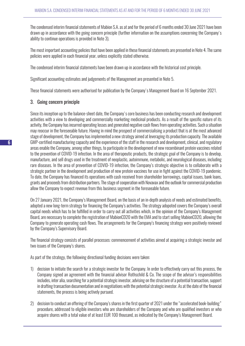The condensed interim financial statements of Mabion S.A. as at and for the period of 6 months ended 30 June 2021 have been drawn up in accordance with the going concern principle (further information on the assumptions concerning the Company's ability to continue operations is provided in Note 3).

The most important accounting policies that have been applied in these financial statements are presented in Note 4. The same policies were applied in each financial year, unless explicitly stated otherwise.

The condensed interim financial statements have been drawn up in accordance with the historical cost principle.

Significant accounting estimates and judgements of the Management are presented in Note 5.

These financial statements were authorised for publication by the Company's Management Board on 16 September 2021.

#### 3. Going concern principle

Since its inception up to the balance-sheet date, the Company's core business has been conducting research and development activities with a view to developing and commercially marketing medicinal products. As a result of the specific nature of its activity, the Company has incurred operating losses and generated negative cash flows from operating activities. Such a situation may reoccur in the foreseeable future. Having in mind the prospect of commercialising a product that is at the most advanced stage of development, the Company has implemented a new strategy aimed at leveraging its production capacity. The available GMP-certified manufacturing capacity and the experience of the staff in the research and development, clinical, and regulatory areas enable the Company, among other things, to participate in the development of new recombinant protein vaccines related to the prevention of COVID-19 infection. In the area of therapeutic products, the strategic goal of the Company is to develop, manufacture, and sell drugs used in the treatment of neoplastic, autoimmune, metabolic, and neurological diseases, including rare diseases. In the area of prevention of COVID-19 infection, the Company's strategic objective is to collaborate with a strategic partner in the development and production of new protein vaccines for use in fight against the COVID-19 pandemic. To date, the Company has financed its operations with cash received from shareholder borrowings, capital issues, bank loans, grants and proceeds from distribution partners. The stage of cooperation with Novavax and the outlook for commercial production allow the Company to expect revenue from this business segment in the foreseeable future.

On 27 January 2021, the Company's Management Board, on the basis of an in-depth analysis of needs and estimated benefits, adopted a new long-term strategy for financing the Company's activities. The strategy adopoted covers the Company's overall capital needs which has to be fulfilled in order to carry out all activities which, in the opinion of the Company's Management Board, are necessary to complete the registration of MabionCD20 with the EMA and to start selling MabionCD20, allowing the Company to generate operating cash flows. The arrangements for the Company's financing strategy were positively reviewed by the Company's Supervisory Board.

The financial strategy consists of parallel processes: commencement of activities aimed at acquiring a strategic investor and two issues of the Company's shares.

As part of the strategy, the following directional funding decisions were taken:

- 1) decision to initiate the search for a strategic investor for the Company. In order to effectively carry out this process, the Company signed an agreement with the financial advisor Rothschild & Co. The scope of the advisor's responsibilities includes, inter alia, searching for a potential strategic investor, advising on the structure of a potential transaction, support in drafting transaction documentation and in negotiations with the potential strategic investor. As at the date of the financial statements, the process is being actively pursued.
- 2) decision to conduct an offering of the Company's shares in the first quarter of 2021 under the "accelerated book-building" procedure, addressed to eligible investors who are shareholders of the Company and who are qualified investors or who acquire shares with a total value of at least EUR 100 thousand, as indicated by the Company's Management Board.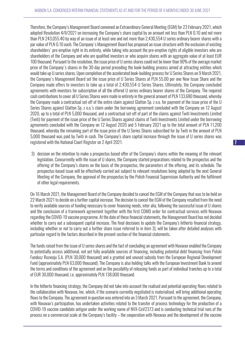Therefore, the Company's Management Board convened an Extraordinary General Meeting (EGM) for 23 February 2021, which adopted Resolution 4/II/2021 on increasing the Company's share capital by an amount not less than PLN 0.10 and not more than PLN 243,055.40 by way of an issue of at least one and not more than 2,430,554 U series ordinary bearer shares with a par value of PLN 0.10 each. The Company's Management Board has proposed an issue structure with the exclusion of existing shareholders' pre-emptive right in its entirety, while taking into account the pre-emptive rights of eligible investors who are shareholders of the Company and who are qualified investors or who acquire shares with an aggregate value of at least EUR 100 thousand. Pursuant to the resolution, the issue price of U series shares could not be lower than 90% of the average market price of the Company's shares in the 30-day period preceding the book-building process aimed at attracting entities which would take up U series shares. Upon completion of the accelerated book-building process for U Series Shares on 9 March 2021, the Company's Management Board set the issue price of U Series Shares at PLN 55.00 per one New Issue Share and the Company made offers to investors to take up a total of 2,430,554 U Series Shares. Ultimately, the Company concluded agreements with investors for subscription of all the offered U series ordinary bearer shares of the Company. The required cash contributions to cover all U Series Shares were made in entirety in the general amount of PLN 133,680 thousand, whereby the Company made a contractual set-off of the entire claim against Glatton Sp. z o.o. for payment of the issue price of the U Series Shares against Glatton Sp. z o.o.'s claim under the borrowing agreement concluded with the Company on 12 August 2020, up to a total of PLN 5,000 thousand, and a contractual set-off of part of the claims against Twiti Investments Limited (Twiti) for payment of the issue price of the U Series Shares against claims of Twiti Investments Limited under the borrowing agreements concluded with the Company on 12 August 2020 and 5 February 2021 up to the total amount of PLN 11,200 thousand, whereby the remaining part of the issue price of the U Series Shares subscribed for by Twiti in the amount of PLN 5,000 thousand was paid by Twiti in cash. The Company's share capital increase through the issue of U series shares was registered with the National Court Register on 2 April 2021.

3) decision on the intention to make a prospectus-based offer of the Company's shares within the meaning of the relevant legislation. Concurrently with the issue of U shares, the Company started preparations related to the prospectus and the offering of the Company's shares on the basis of the prospectus, the parameters of the offering, and its schedule. The prospectus-based issue will be effectively carried out subject to relevant resolutions being adopted by the next General Meeting of the Company, the approval of the prospectus by the Polish Financial Supervision Authority and the fulfilment of other legal requirements.

On 16 March 2021, the Management Board of the Company decided to cancel the EGM of the Company that was to be held on 22 March 2021 to decide on a further capital increase. The decision to cancel the EGM of the Company resulted from the need to verify available sources of funding necessary to cover financing needs, inter alia, following the successful issue of U shares and the conclusion of a framework agreement together with the first CDMO order for contractual services with Novavax regarding the COVID-19 vaccine programme. At the date of these financial statements, the Management Board has not decided whether to carry out a subsequent capital increase. The final decisions to update the Company's hitherto financial strategy, including whether or not to carry out a further share issue referred to in item 3), will be taken after detailed analyses with particular regard to the factors described in the present section of the financial statements.

The funds raised from the issue of U series shares and the fact of concluding an agreement with Novavax enabled the Company to potentially access additional, not yet fully available sources of financing, including potential debt financing from Polski Fundusz Rozwoju S.A. (PLN 30,000 thousand) and a granted and unused subsidy from the European Regional Development Fund (approximately PLN 63,000 thousand). The Company is also holding talks with the European Investment Bank to amend the terms and conditions of the agreement and on the possibility of releasing funds as part of individual tranches up to a total of EUR 30,000 thousand, i.e. approximately PLN 138,000 thousand.

In the hitherto financing strategy, the Company did not take into account the realised and potential operating flows related to the collaboration with Novavax, Inc. which, if the scenario currently negotiated is materialised, will bring additional operating flows to the Company. The agreement in question was entered into on 3 March 2021. Pursuant to the agreement, the Company, with Novavax's participation, has undertaken activities related to the transfer of process technology for the production of a COVID-19 vaccine candidate antigen under the working name of NVX-CoV2373 and is conducting technical trial runs of the process on a commercial scale at the Company's facility – the cooperation with Novavax and the development of the vaccine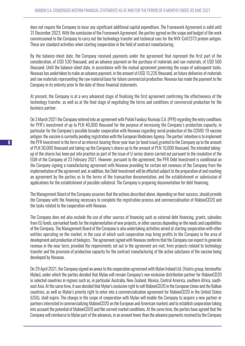does not require the Company to incur any significant additional capital expenditure. The Framework Agreement is valid until 31 December 2023. With the conclusion of the Framework Agreement, the parties agreed on the scope and budget of the work commissioned to the Company to carry out the technology transfer and technical runs for the NVX-CoV2373 protein antigen. These are standard activities when starting cooperation in the field of contract manufacturing.

By the balance-sheet date, the Company received payments under the agreement that represent the first part of the consideration, of USD 530 thousand, and an advance payment on the purchase of materials and raw materials, of USD 500 thousand. Until the balance-sheet date, in accordance with the mutual agreement governing the scope of subsequent tasks, Novavax has undertaken to make an advance payment, in the amount of USD 15,226 thousand, on future deliveries of materials and raw materials representing the raw material base for future commercial production. Novavax has made the payment to the Company in its entirety prior to the date of these financial statements.

At present, the Company is at a very advanced stage of finalising the first agreement confirming the effectiveness of the technology transfer, as well as at the final stage of negotiating the terms and conditions of commercial production for the business partner.

On 3 March 2021 the Company entered into an agreement with Polski Fundusz Rozwoju S.A. (PFR) regarding the entry conditions for PFR's investment of up to PLN 40,000 thousand for the purpose of increasing the Company's production capacity, in particular for the Company's possible broader cooperation with Novavax regarding serial production of the COVID-19 vaccine antigen; the vaccine is currently pending registration with the European Medicines Agency. The parties' intention is to implement the PFR Investment in the form of an interest-bearing three-year loan (or bond issue) granted to the Company up to the amount of PLN 30,000 thousand and taking-up the Company's shares up to the amount of PLN 10,000 thousand. The intended takingup of the shares has been put into practice as part of the issue of U series shares carried out pursuant to the resolution of the EGM of the Company of 23 February 2021. However, pursuant to the agreement, the PFR Debt Investment is conditional on the Company signing a manufacturing agreement with Novavax providing for certain net revenues of the Company from the implementation of the agreement and, in addition, the Debt Investment will be effected subject to the preparation of and reaching an agreement by the parties as to the terms of the transaction documentation, and the establishment or submission of applications for the establishment of possible collateral. The Company is preparing documentation for debt financing.

The Management Board of the Company assumes that the actions described above, depending on their success, should provide the Company with the financing necessary to complete the registration process and commercialisation of MabionCD20 and the tasks related to the cooperation with Novavax.

The Company does not also exclude the use of other sources of financing such as external debt financing, grants, subsidies from EU funds, earmarked funds for the implementation of new projects, or other sources depending on the needs and capabilities of the Company. The Management Board of the Company is also undertaking activities aimed at starting cooperation with other entities operating on the market, in the case of which such cooperation may bring profits to the Company in the area of development and production of biologics. The agreement signed with Novavax confirms that the Company can expect to generate revenue in the near term, provided the requirements set out in the agreement are met, from projects related to technology transfer and the provision of production capacity for the contract manufacturing of the active substance of the vaccine being developed by Novavax.

On 29 April 2021, the Company signed an annex to the cooperation agreement with Mylan Ireland Ltd. (Viatris group, hereinafter Mylan), under which the parties decided that Mylan will remain Company's non-exclusive distribution partner for MabionCD20 in selected countries in regions such as, in particular Australia, New Zealand, Mexico, Central America, southern Africa, southeast Asia. At the same time, it was decided that Mylan's exclusive right to sell MabionCD20 in the European Union and the Balkan countries, as well as Mylan's priority right to enter into a commercialization agreement for MabionCD20 in the United States (USA), shall expire. The change in the scope of cooperation with Mylan will enable the Company to acquire a new partner or partners interested in commercializing MabionCD20 on the European and American markets and to establish cooperation taking into account the potential of MabionCD20 and the current market conditions. At the same time, the parties have agreed that the Company will reimburse to Mylan part of the advances, in an amount lower than the advance payments received by the Company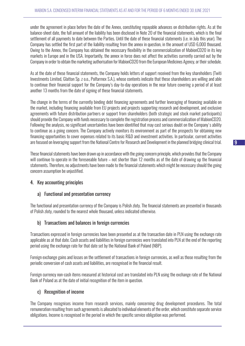under the agreement in place before the date of the Annex, constituting repayable advances on distribution rights. As at the balance-sheet date, the full amount of the liability has been disclosed in Note 20 of the financial statements, which is the final settlement of all payments to date between the Parties. Until the date of these financial statements (i.e. in July this year). The Company has settled the first part of the liability resulting from the annex in question, in the amount of USD 6,000 thousand. Owing to the Annex, the Company has obtained the necessary flexibility in the commercialization of MabionCD20 in its key markets in Europe and in the USA. Importantly, the annex in force does not affect the activities currently carried out by the Company in order to obtain the marketing authorisation for MabionCD20 from the European Medicines Agency, or their schedule.

As at the date of these financial statements, the Company holds letters of support received from the key shareholders (Twiti Investments Limited, Glatton Sp. z o.o., Polfarmex S.A.), whose contents indicate that these shareholders are willing and able to continue their financial support for the Company's day-to-day operations in the near future covering a period of at least another 13 months from the date of signing of these financial statements.

The change in the terms of the currently binding debt financing agreements and further leveraging of financing available on the market, including financing available from EU projects and projects supporting research and development, and exclusive agreements with future distribution partners or support from shareholders (both strategic and stock market participants) should provide the Company with funds necessary to complete the registration process and commercialization of MabionCD20. Following the analysis, no significant uncertainties have been identified that may cast serious doubt on the Company's ability to continue as a going concern. The Company actively monitors its environment as part of the prospects for obtaining new financing opportunities to cover expenses related to its basic R&D and investment activities. In particular, current activities are focused on leveraging support from the National Centre for Research and Development in the planned bridging clinical trial.

These financial statements have been drawn up in accordance with the going concern principle, which provides that the Company will continue to operate in the foreseeable future – not shorter than 12 months as of the date of drawing up the financial statements. Therefore, no adjustments have been made to the financial statements which might be necessary should the going concern assumption be unjustified.

# 4. Key accounting principles

#### a) Functional and presentation currency

The functional and presentation currency of the Company is Polish zloty. The financial statements are presented in thousands of Polish zloty, rounded to the nearest whole thousand, unless indicated otherwise.

#### b) Transactions and balances in foreign currencies

Transactions expressed in foreign currencies have been presented as at the transaction date in PLN using the exchange rate applicable as at that date. Cash assets and liabilities in foreign currencies were translated into PLN at the end of the reporting period using the exchange rate for that date set by the National Bank of Poland (NBP).

Foreign exchange gains and losses on the settlement of transactions in foreign currencies, as well as those resulting from the periodic conversion of cash assets and liabilities, are recognised in the financial result.

Foreign currency non-cash items measured at historical cost are translated into PLN using the exchange rate of the National Bank of Poland as at the date of initial recognition of the item in question.

# c) Recognition of income

The Company recognises income from research services, mainly concerning drug development procedures. The total remuneration resulting from such agreements is allocated to individual elements of the order, which constitute separate service obligations. Income is recognised in the period in which the specific service obligation was performed.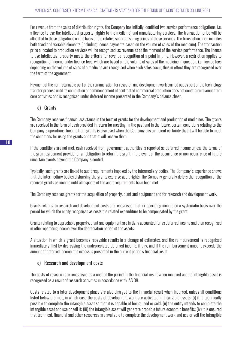For revenue from the sales of distribution rights, the Company has initially identified two service performance obligations, i.e. a licence to use the intellectual property (rights to the medicine) and manufacturing services. The transaction price will be allocated to these obligations on the basis of the relative separate selling prices of these services. The transaction price includes both fixed and variable elements (including licence payments based on the volume of sales of the medicine). The transaction price allocated to production services will be recognised as revenue as at the moment of the service performance. The licence to use intellectual property meets the criteria for revenue recognition at a point in time. However, a restriction applies to recognition of income under licence fees, which are based on the volume of sales of the medicine in question, i.e. licence fees depending on the volume of sales of a medicine are recognised when such sales occur, thus in effect they are recognised over the term of the agreement.

Payment of the non-returnable part of the remuneration for research and development work carried out as part of the technology transfer process until its completion or commencement of contracted commercial production does not constitute revenue from core activities and is recognised under deferred income presented in the Company's balance sheet.

#### d) Grants

The Company receives financial assistance in the form of grants for the development and production of medicines. The grants are received in the form of cash provided in return for meeting, in the past and in the future, certain conditions relating to the Company's operations. Income from grants is disclosed when the Company has sufficient certainty that it will be able to meet the conditions for using the grants and that it will receive them.

If the conditions are not met, cash received from government authorities is reported as deferred income unless the terms of the grant agreement provide for an obligation to return the grant in the event of the occurrence or non-occurrence of future uncertain events beyond the Company's control.

Typically, such grants are linked to audit requirements imposed by the intermediary bodies. The Company's experience shows that the intermediary bodies disbursing the grants exercise audit rights. The Company generally defers the recognition of the received grants as income until all aspects of the audit requirements have been met.

The Company receives grants for the acquisition of property, plant and equipment and for research and development work.

Grants relating to research and development costs are recognised in other operating income on a systematic basis over the period for which the entity recognises as costs the related expenditure to be compensated by the grant.

Grants relating to depreciable property, plant and equipment are initially accounted for as deferred income and then recognised in other operating income over the depreciation period of the assets.

A situation in which a grant becomes repayable results in a change of estimates, and the reimbursement is recognised immediately first by decreasing the undepreciated deferred income, if any, and if the reimbursement amount exceeds the amount of deferred income, the excess is presented in the current period's financial result.

#### e) Research and development costs

The costs of research are recognised as a cost of the period in the financial result when incurred and no intangible asset is recognised as a result of research activities in accordance with IAS 38.

Costs related to a later development phase are also charged to the financial result when incurred, unless all conditions listed below are met, in which case the costs of development work are activated in intangible assets: (i) it is technically possible to complete the intangible asset so that it is capable of being used or sold; (ii) the entity intends to complete the intangible asset and use or sell it; (iii) the intangible asset will generate probable future economic benefits; (iv) it is ensured that technical, financial and other resources are available to complete the development work and use or sell the intangible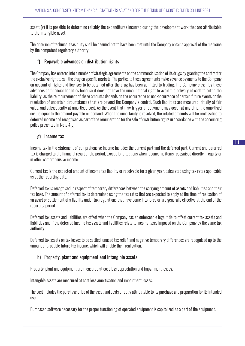asset; (v) it is possible to determine reliably the expenditures incurred during the development work that are attributable to the intangible asset.

The criterion of technical feasibility shall be deemed not to have been met until the Company obtains approval of the medicine by the competent regulatory authority.

#### f) Repayable advances on distribution rights

The Company has entered into a number of strategic agreements on the commercialisation of its drugs by granting the contractor the exclusive right to sell the drug on specific markets. The parties to these agreements make advance payments to the Company on account of rights and licenses to be obtained after the drug has been admitted to trading. The Company classifies these advances as financial liabilities because it does not have the unconditional right to avoid the delivery of cash to settle the liability, as the reimbursement of these amounts depends on the occurrence or non-occurrence of certain future events or the resolution of uncertain circumstances that are beyond the Company's control. Such liabilities are measured initially at fair value, and subsequently at amortised cost. As the event that may trigger a repayment may occur at any time, the amortised cost is equal to the amount payable on demand. When the uncertainty is resolved, the related amounts will be reclassified to deferred income and recognised as part of the remuneration for the sale of distribution rights in accordance with the accounting policy presented in Note 4(c).

#### g) Income tax

Income tax in the statement of comprehensive income includes the current part and the deferred part. Current and deferred tax is charged to the financial result of the period, except for situations when it concerns items recognised directly in equity or in other comprehensive income.

Current tax is the expected amount of income tax liability or receivable for a given year, calculated using tax rates applicable as at the reporting date.

Deferred tax is recognised in respect of temporary differences between the carrying amount of assets and liabilities and their tax base. The amount of deferred tax is determined using the tax rates that are expected to apply at the time of realisation of an asset or settlement of a liability under tax regulations that have come into force or are generally effective at the end of the reporting period.

Deferred tax assets and liabilities are offset when the Company has an enforceable legal title to offset current tax assets and liabilities and if the deferred income tax assets and liabilities relate to income taxes imposed on the Company by the same tax authority.

Deferred tax assets on tax losses to be settled, unused tax relief, and negative temporary differences are recognised up to the amount of probable future tax income, which will enable their realisation.

#### h) Property, plant and equipment and intangible assets

Property, plant and equipment are measured at cost less depreciation and impairment losses.

Intangible assets are measured at cost less amortisation and impairment losses.

The cost includes the purchase price of the asset and costs directly attributable to its purchase and preparation for its intended use.

Purchased software necessary for the proper functioning of operated equipment is capitalized as a part of the equipment.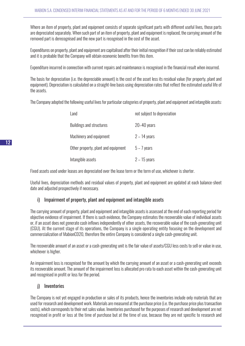Where an item of property, plant and equipment consists of separate significant parts with different useful lives, those parts are depreciated separately. When such part of an item of property, plant and equipment is replaced, the carrying amount of the removed part is derecognised and the new part is recognised in the cost of the asset.

Expenditures on property, plant and equipment are capitalised after their initial recognition if their cost can be reliably estimated and it is probable that the Company will obtain economic benefits from this item.

Expenditure incurred in connection with current repairs and maintenance is recognised in the financial result when incurred.

The basis for depreciation (i.e. the depreciable amount) is the cost of the asset less its residual value (for property, plant and equipment). Depreciation is calculated on a straight-line basis using depreciation rates that reflect the estimated useful life of the assets.

The Company adopted the following useful lives for particular categories of property, plant and equipment and intangible assets:

| Land                                | not subject to depreciation |
|-------------------------------------|-----------------------------|
| <b>Buildings and structures</b>     | $20 - 40$ years             |
| Machinery and equipment             | $2 - 14$ years              |
| Other property, plant and equipment | $5 - 7$ years               |
| Intangible assets                   | $2 - 15$ years              |

Fixed assets used under leases are depreciated over the lease term or the term of use, whichever is shorter.

Useful lives, depreciation methods and residual values of property, plant and equipment are updated at each balance-sheet date and adjusted prospectively if necessary.

# i) Impairment of property, plant and equipment and intangible assets

The carrying amount of property, plant and equipment and intangible assets is assessed at the end of each reporting period for objective evidence of impairment. If there is such evidence, the Company estimates the recoverable value of individual assets or, if an asset does not generate cash inflows independently of other assets, the recoverable value of the cash-generating unit (CGU). At the current stage of its operations, the Company is a single operating entity focusing on the development and commercialization of MabionCD20, therefore the entire Company is considered a single cash-generating unit.

The recoverable amount of an asset or a cash-generating unit is the fair value of assets/CGU less costs to sell or value in use, whichever is higher.

An impairment loss is recognised for the amount by which the carrying amount of an asset or a cash-generating unit exceeds its recoverable amount. The amount of the impairment loss is allocated pro rata to each asset within the cash-generating unit and recognised in profit or loss for the period.

# j) Inventories

The Company is not yet engaged in production or sales of its products, hence the inventories include only materials that are used for research and development work. Materials are measured at the purchase price (i.e. the purchase price plus transaction costs), which corresponds to their net sales value. Inventories purchased for the purposes of research and development are not recognised in profit or loss at the time of purchase but at the time of use, because they are not specific to research and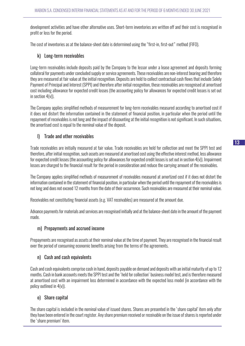development activities and have other alternative uses. Short-term inventories are written off and their cost is recognised in profit or loss for the period.

The cost of inventories as at the balance-sheet date is determined using the "first-in, first-out" method (FIFO).

#### k) Long-term receivables

Long-term receivables include deposits paid by the Company to the lessor under a lease agreement and deposits forming collateral for payments under concluded supply or service agreements. These receivables are non-interest bearing and therefore they are measured at fair value at the initial recognition. Deposits are held to collect contractual cash flows that include Solely Payment of Principal and Interest (SPPI) and therefore after initial recognition, these receivables are recognised at amortised cost including allowance for expected credit losses (the accounting policy for allowances for expected credit losses is set out in section 4(v)).

The Company applies simplified methods of measurement for long-term receivables measured according to amortised cost if it does not distort the information contained in the statement of financial position, in particular when the period until the repayment of receivables is not long and the impact of discounting at the initial recognition is not significant. In such situations, the amortised cost is equal to the nominal value of the deposit.

#### l) Trade and other receivables

Trade receivables are initially measured at fair value. Trade receivables are held for collection and meet the SPPI test and therefore, after initial recognition, such assets are measured at amortised cost using the effective interest method, less allowance for expected credit losses (the accounting policy for allowances for expected credit losses is set out in section 4(v)). Impairment losses are charged to the financial result for the period in consideration and reduce the carrying amount of the receivables.

The Company applies simplified methods of measurement of receivables measured at amortized cost if it does not distort the information contained in the statement of financial position, in particular when the period until the repayment of the receivables is not long and does not exceed 12 months from the date of their occurrence. Such receivables are measured at their nominal value.

Receivables not constituting financial assets (e.g. VAT receivables) are measured at the amount due.

Advance payments for materials and services are recognised initially and at the balance-sheet date in the amount of the payment made.

#### m) Prepayments and accrued income

Prepayments are recognised as assets at their nominal value at the time of payment. They are recognised in the financial result over the period of consuming economic benefits arising from the terms of the agreements.

#### n) Cash and cash equivalents

Cash and cash equivalents comprise cash in hand, deposits payable on demand and deposits with an initial maturity of up to 12 months. Cash in bank accounts meets the SPPI test and the 'held for collection' business model test, and is therefore measured at amortised cost with an impairment loss determined in accordance with the expected loss model (in accordance with the policy outlined in 4(v)).

#### o) Share capital

The share capital is included in the nominal value of issued shares. Shares are presented in the 'share capital' item only after they have been entered in the court register. Any share premium received or receivable on the issue of shares is reported under the 'share premium' item.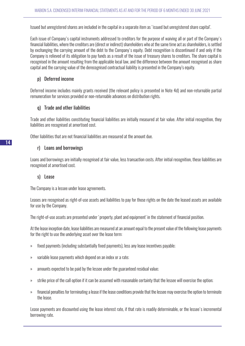Issued but unregistered shares are included in the capital in a separate item as 'issued but unregistered share capital'.

Each issue of Company's capital instruments addressed to creditors for the purpose of waiving all or part of the Company's financial liabilities, where the creditors are (direct or indirect) shareholders who at the same time act as shareholders, is settled by exchanging the carrying amount of the debt to the Company's equity. Debt recognition is discontinued if and only if the Company is relieved of its obligation to pay funds as a result of the issue of treasury shares to creditors. The share capital is recognised in the amount resulting from the applicable local law, and the difference between the amount recognised as share capital and the carrying value of the derecognised contractual liability is presented in the Company's equity.

## p) Deferred income

Deferred income includes mainly grants received (the relevant policy is presented in Note 4d) and non-returnable partial remuneration for services provided or non-returnable advances on distribution rights.

#### q) Trade and other liabilities

Trade and other liabilities constituting financial liabilities are initially measured at fair value. After initial recognition, they liabilities are recognised at amortised cost.

Other liabilities that are not financial liabilities are measured at the amount due.

#### r) Loans and borrowings

Loans and borrowings are initially recognised at fair value, less transaction costs. After initial recognition, these liabilities are recognised at amortised cost.

#### s) Lease

The Company is a lessee under lease agreements.

Leases are recognised as right-of-use assets and liabilities to pay for those rights on the date the leased assets are available for use by the Company.

The right-of-use assets are presented under 'property, plant and equipment' in the statement of financial position.

At the lease inception date, lease liabilities are measured at an amount equal to the present value of the following lease payments for the right to use the underlying asset over the lease term:

- » fixed payments (including substantially fixed payments), less any lease incentives payable;
- » variable lease payments which depend on an index or a rate;
- » amounts expected to be paid by the lessee under the guaranteed residual value;
- » strike price of the call option if it can be assumed with reasonable certainty that the lessee will exercise the option;
- » financial penalties for terminating a lease if the lease conditions provide that the lessee may exercise the option to terminate the lease.

Lease payments are discounted using the lease interest rate, if that rate is readily determinable, or the lessee's incremental borrowing rate.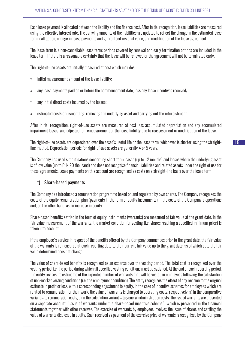Each lease payment is allocated between the liability and the finance cost. After initial recognition, lease liabilities are measured using the effective interest rate. The carrying amounts of the liabilities are updated to reflect the change in the estimated lease term, call option, change in lease payments and guaranteed residual value, and modification of the lease agreement.

The lease term is a non-cancellable lease term; periods covered by renewal and early termination options are included in the lease term if there is a reasonable certainty that the lease will be renewed or the agreement will not be terminated early.

The right-of-use assets are initially measured at cost which includes:

- » initial measurement amount of the lease liability;
- » any lease payments paid on or before the commencement date, less any lease incentives received;
- » any initial direct costs incurred by the lessee;
- » estimated costs of dismantling, removing the underlying asset and carrying out the refurbishment.

After initial recognition, right-of-use assets are measured at cost less accumulated depreciation and any accumulated impairment losses, and adjusted for remeasurement of the lease liability due to reassessment or modification of the lease.

The right-of-use assets are depreciated over the asset's useful life or the lease term, whichever is shorter, using the straightline method. Depreciation periods for right-of-use assets are generally 4 or 5 years.

The Company has used simplifications concerning short-term leases (up to 12 months) and leases where the underlying asset is of low value (up to PLN 20 thousand) and does not recognise financial liabilities and related assets under the right of use for these agreements. Lease payments on this account are recognised as costs on a straight-line basis over the lease term.

#### t) Share-based payments

The Company has introduced a remuneration programme based on and regulated by own shares. The Company recognises the costs of the equity remuneration plan (payments in the form of equity instruments) in the costs of the Company's operations and, on the other hand, as an increase in equity.

Share-based benefits settled in the form of equity instruments (warrants) are measured at fair value at the grant date. In the fair value measurement of the warrants, the market condition for vesting (i.e. shares reaching a specified minimum price) is taken into account.

If the employee's service in respect of the benefits offered by the Company commences prior to the grant date, the fair value of the warrants is remeasured at each reporting date to their current fair value up to the grant date, as of which date the fair value determined does not change.

The value of share-based benefits is recognised as an expense over the vesting period. The total cost is recognised over the vesting period, i.e. the period during which all specified vesting conditions must be satisfied. At the end of each reporting period, the entity revises its estimates of the expected number of warrants that will be vested in employees following the satisfaction of non-market vesting conditions (i.e. the employment condition). The entity recognises the effect of any revision to the original estimate in profit or loss, with a corresponding adjustment to equity. In the case of incentive schemes for employees which are related to remuneration for their work, the value of warrants is charged to operating costs, respectively: a) in the comparative variant – to remuneration costs, b) in the calculation variant – to general administration costs. The issued warrants are presented on a separate account, "Issue of warrants under the share-based incentive scheme", which is presented in the financial statements together with other reserves. The exercise of warrants by employees involves the issue of shares and settling the value of warrants disclosed in equity. Cash received as payment of the exercise price of warrants is recognised by the Company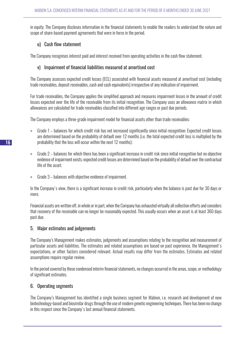in equity. The Company discloses information in the financial statements to enable the readers to understand the nature and scope of share-based payment agreements that were in force in the period.

#### u) Cash flow statement

The Company recognises interest paid and interest received from operating activities in the cash flow statement.

#### v) Impairment of financial liabilities measured at amortised cost

The Company assesses expected credit losses (ECL) associated with financial assets measured at amortised cost (including trade receivables, deposit receivables, cash and cash equivalents) irrespective of any indication of impairment.

For trade receivables, the Company applies the simplified approach and measures impairment losses in the amount of credit losses expected over the life of the receivable from its initial recognition. The Company uses an allowance matrix in which allowances are calculated for trade receivables classified into different age ranges or past due periods.

The Company employs a three-grade impairment model for financial assets other than trade receivables:

- » Grade 1 balances for which credit risk has not increased significantly since initial recognition; Expected credit losses are determined based on the probability of default over 12 months (i.e. the total expected credit loss is multiplied by the probability that the loss will occur within the next 12 months);
- » Grade 2 balances for which there has been a significant increase in credit risk since initial recognition but no objective evidence of impairment exists; expected credit losses are determined based on the probability of default over the contractual life of the asset;
- » Grade 3 balances with objective evidence of impairment.

In the Company's view, there is a significant increase in credit risk, particularly when the balance is past due for 30 days or more.

Financial assets are written off, in whole or in part, when the Company has exhausted virtually all collection efforts and considers that recovery of the receivable can no longer be reasonably expected. This usually occurs when an asset is at least 360 days past due.

#### 5. Major estimates and judgements

The Company's Management makes estimates, judgements and assumptions relating to the recognition and measurement of particular assets and liabilities. The estimates and related assumptions are based on past experience, the Management's expectations, or other factors considered relevant. Actual results may differ from the estimates. Estimates and related assumptions require regular review.

In the period covered by these condensed interim financial statements, no changes occurred in the areas, scope, or methodology of significant estimates.

# 6. Operating segments

The Company's Management has identified a single business segment for Mabion, i.e. research and development of new biotechnology-based and biosimilar drugs through the use of modern genetic engineering techniques. There has been no change in this respect since the Company's last annual financial statements.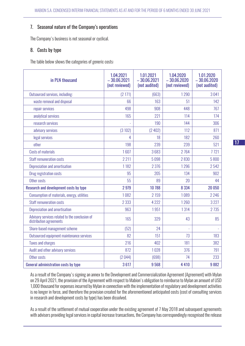#### 7. Seasonal nature of the Company's operations

The Company's business is not seasonal or cyclical.

#### 8. Costs by type

The table below shows the categories of generic costs:

| in PLN thousand                                                           | 1.04.2021<br>$-30.06.2021$<br>(not reviewed) | 1.01.2021<br>$-30.06.2021$<br>(not audited) | 1.04.2020<br>$-30.06.2020$<br>(not reviewed) | 1.01.2020<br>$-30.06.2020$<br>(not audited) |
|---------------------------------------------------------------------------|----------------------------------------------|---------------------------------------------|----------------------------------------------|---------------------------------------------|
| Outsourced services, including:                                           | (2 171)                                      | (663)                                       | 1290                                         | 3041                                        |
| waste removal and disposal                                                | 66                                           | 163                                         | 51                                           | 142                                         |
| repair services                                                           | 498                                          | 908                                         | 448                                          | 767                                         |
| analytical services                                                       | 165                                          | 221                                         | 114                                          | 174                                         |
| research services                                                         |                                              | 190                                         | 144                                          | 306                                         |
| advisory services                                                         | (3102)                                       | (2402)                                      | 112                                          | 871                                         |
| legal services                                                            | 4                                            | 18                                          | 182                                          | 260                                         |
| other                                                                     | 198                                          | 239                                         | 239                                          | 521                                         |
| <b>Costs of materials</b>                                                 | 1607                                         | 3683                                        | 2764                                         | 7721                                        |
| <b>Staff remuneration costs</b>                                           | 2211                                         | 5098                                        | 2830                                         | 5800                                        |
| Depreciation and amortisation                                             | 1182                                         | 2 3 7 6                                     | 1296                                         | 2542                                        |
| Drug registration costs                                                   | 95                                           | 205                                         | 134                                          | 902                                         |
| Other costs                                                               | 55                                           | 89                                          | 20                                           | 44                                          |
| Research and development costs by type                                    | 2979                                         | 10 788                                      | 8 3 3 4                                      | 20 050                                      |
| Consumption of materials, energy, utilities                               | 1082                                         | 2 1 5 9                                     | 1089                                         | 2 2 4 6                                     |
| <b>Staff remuneration costs</b>                                           | 2 3 3 3                                      | 4 2 2 2                                     | 1260                                         | 3 2 2 7                                     |
| Depreciation and amortisation                                             | 963                                          | 1951                                        | 1314                                         | 2735                                        |
| Advisory services related to the conclusion of<br>distribution agreements | 165                                          | 329                                         | 43                                           | 85                                          |
| Share-based management scheme                                             | (52)                                         | 24                                          |                                              |                                             |
| Outsourced equipment maintenance services                                 | 82                                           | 151                                         | 73                                           | 183                                         |
| <b>Taxes and charges</b>                                                  | 216                                          | 402                                         | 181                                          | 382                                         |
| Audit and other advisory services                                         | 872                                          | 1028                                        | 376                                          | 791                                         |
| Other costs                                                               | (2044)                                       | (698)                                       | 74                                           | 233                                         |
| General administration costs by type                                      | 3617                                         | 9568                                        | 4 4 1 0                                      | 9882                                        |

As a result of the Company's signing an annex to the Development and Commercialization Agreement (Agreement) with Mylan on 29 April 2021, the provision of the Agreement with respect to Mabion's obligation to reimburse to Mylan an amount of USD 1,000 thousand for expenses incurred by Mylan in connection with the implementation of regulatory and development activities is no longer in force, and therefore the provision created for the aforementioned anticipated costs (cost of consulting services in research and development costs by type) has been dissolved.

As a result of the settlement of mutual cooperation under the existing agreement of 7 May 2018 and subsequent agreements with advisers providing legal services in capital increase transactions, the Company has correspondingly recognised the release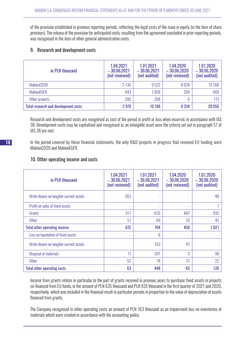of the provision established in previous reporting periods, reflecting the legal costs of the issue in equity (in the item of share premium). The release of the provision for anticipated costs, resulting from the agreement concluded in prior reporting periods, was recognised in the item of other general administration costs.

#### 9. Research and development costs

| in PLN thousand                             | 1.04.2021<br>$-30.06.2021$<br>(not reviewed) | 1.01.2021<br>$-30.06.2021$<br>(not audited) | 1.04.2020<br>$-30.06.2020$<br>(not reviewed) | 1.01.2020<br>$-30.06.2020$<br>(not audited) |
|---------------------------------------------|----------------------------------------------|---------------------------------------------|----------------------------------------------|---------------------------------------------|
| MabionCD20                                  | 2 1 3 6                                      | 9522                                        | 8034                                         | 19 268                                      |
| <b>MabionEGFR</b>                           | 643                                          | 1058                                        | 294                                          | 669                                         |
| Other projects                              | 200                                          | 208                                         | 6                                            | 113                                         |
| <b>Total research and development costs</b> | 2979                                         | 10 788                                      | 8 3 3 4                                      | 20 050                                      |

Research and development costs are recognised as cost of the period in profit or loss when incurred, in accordance with IAS 38. Development costs may be capitalised and recognised as an intangible asset once the criteria set out in paragraph 57 of IAS 38 are met.

In the period covered by these financial statements, the only R&D projects in progress that received EU funding were MabionCD20 and MabionEGFR.

#### 10. Other operating income and costs

| in PLN thousand                        | 1.04.2021<br>$-30.062021$<br>(not reviewed) | 1.01.2021<br>$-30.06,2021$<br>(not audited) | 1.04.2020<br>$-30.06,2020$<br>(not reviewed) | 1.01.2020<br>$-30.06,2020$<br>(not audited) |
|----------------------------------------|---------------------------------------------|---------------------------------------------|----------------------------------------------|---------------------------------------------|
| Write-downs on tangible current assets | 263                                         |                                             |                                              | 40                                          |
| Profit on sales of fixed assets        | ٠                                           |                                             | ۰                                            |                                             |
| Grants                                 | 317                                         | 635                                         | 442                                          | 935                                         |
| <b>Other</b>                           | 57                                          | 69                                          | 16                                           | 45                                          |
| <b>Total other operating income</b>    | 637                                         | 704                                         | 458                                          | 1021                                        |
| Loss on liquidation of fixed assets    | ٠                                           | 6                                           | ۰                                            |                                             |
| Write-downs on tangible current assets |                                             | 163                                         | 47                                           |                                             |
| <b>Disposal of materials</b>           | 11                                          | 201                                         | 3                                            | 98                                          |
| <b>Other</b>                           | 52                                          | 78                                          | 15                                           | 22                                          |
| <b>Total other operating costs</b>     | 63                                          | 448                                         | 65                                           | 120                                         |

Income from grants relates in particular to the part of grants received in previous years to purchase fixed assets in projects co-financed from EU funds, in the amount of PLN 635 thousand and PLN 935 thousand in the first quarter of 2021 and 2020, respectively, which was included in the financial result in particular periods in proportion to the value of depreciation of assets financed from grants.

The Company recognised in other operating costs an amount of PLN 163 thousand as an impairment loss on inventories of materials which were created in accordance with the accounting policy.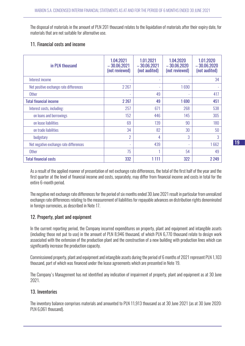The disposal of materials in the amount of PLN 201 thousand relates to the liquidation of materials after their expiry date, for materials that are not suitable for alternative use.

#### 11. Financial costs and income

| in PLN thousand                        | 1.04.2021<br>$-30.06,2021$<br>(not reviewed) | 1.01.2021<br>$-30.06.2021$<br>(not audited) | 1.04.2020<br>$-30.06.2020$<br>(not reviewed) | 1.01.2020<br>$-30.06,2020$<br>(not audited) |
|----------------------------------------|----------------------------------------------|---------------------------------------------|----------------------------------------------|---------------------------------------------|
| Interest income                        |                                              |                                             |                                              | 34                                          |
| Net positive exchange rate differences | 2 2 6 7                                      |                                             | 1690                                         |                                             |
| <b>Other</b>                           | ۰                                            | 49                                          |                                              | 417                                         |
| <b>Total financial income</b>          | 2 2 6 7                                      | 49                                          | 1690                                         | 451                                         |
| Interest costs, including:             | 257                                          | 671                                         | 268                                          | 538                                         |
| on loans and borrowings                | 152                                          | 446                                         | 145                                          | 305                                         |
| on lease liabilities                   | 69                                           | 139                                         | 90                                           | 180                                         |
| on trade liabilities                   | 34                                           | 82                                          | 30                                           | 50                                          |
| budgetary                              | $\overline{2}$                               | 4                                           | 3                                            | 3                                           |
| Net negative exchange rate differences | $\overline{\phantom{a}}$                     | 439                                         |                                              | 1662                                        |
| <b>Other</b>                           | 75                                           |                                             | 54                                           | 49                                          |
| <b>Total financial costs</b>           | 332                                          | 1 1 1 1                                     | 322                                          | 2 2 4 9                                     |

As a result of the applied manner of presentation of net exchange rate differences, the total of the first half of the year and the first quarter at the level of financial income and costs, separately, may differ from financial income and costs in total for the entire 6-month period.

The negative net exchange rate differences for the period of six months ended 30 June 2021 result in particular from unrealized exchange rate differences relating to the measurement of liabilities for repayable advances on distribution rights denominated in foreign currencies, as described in Note 17.

#### 12. Property, plant and equipment

In the current reporting period, the Company incurred expenditures on property, plant and equipment and intangible assets (including those not put to use) in the amount of PLN 8,946 thousand, of which PLN 6,770 thousand relate to design work associated with the extension of the production plant and the construction of a new building with production lines which can significantly increase the production capacity.

Commissioned property, plant and equipment and intangible assets during the period of 6 months of 2021 represent PLN 1,103 thousand, part of which was financed under the lease agreements which are presented in Note 19.

The Company's Management has not identified any indication of impairment of property, plant and equipment as at 30 June 2021.

# 13. Inventories

The inventory balance comprises materials and amounted to PLN 11,913 thousand as at 30 June 2021 (as at 30 June 2020: PLN 6,061 thousand).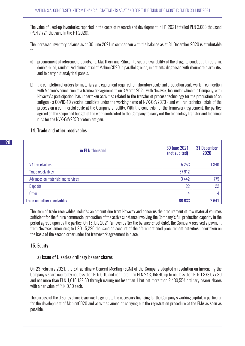The value of used-up inventories reported in the costs of research and development in H1 2021 totalled PLN 3,688 thousand (PLN 7,721 thousand in the H1 2020).

The increased inventory balance as at 30 June 2021 in comparison with the balance as at 31 December 2020 is attributable to:

- a) procurement of reference products, i.e. MabThera and Rituxan to secure availability of the drugs to conduct a three-arm, double-blind, randomized clinical trial of MabionCD20 in parallel groups, in patients diagnosed with rheumatoid arthritis, and to carry out analytical panels.
- b) the completion of orders for materials and equipment required for laboratory scale and production scale work in connection with Mabion's conclusion of a framework agreement, on 3 March 2021, with Novavax, Inc. under which the Company, with Novavax's participation, has undertaken activities related to the transfer of process technology for the production of an antigen - a COVID-19 vaccine candidate under the working name of NVX-CoV2373 - and will run technical trials of the process on a commercial scale at the Company's facility. With the conclusion of the framework agreement, the parties agreed on the scope and budget of the work contracted to the Company to carry out the technology transfer and technical runs for the NVX-CoV2373 protein antigen.

#### 14. Trade and other receivables

| in PLN thousand                    | <b>30 June 2021</b><br>(not audited) | 31 December<br>2020 |
|------------------------------------|--------------------------------------|---------------------|
| <b>VAT receivables</b>             | 5 2 5 3                              | 1840                |
| <b>Trade receivables</b>           | 57912                                |                     |
| Advances on materials and services | 3 4 4 2                              | 775                 |
| <b>Deposits</b>                    | 22                                   | 22                  |
| Other                              | 4                                    | 4                   |
| <b>Trade and other receivables</b> | 66 633                               | 2641                |

The item of trade receivables includes an amount due from Novavax and concerns the procurement of raw material volumes sufficient for the future commercial production of the active substance involving the Company's full production capacity in the period agreed upon by the parties. On 15 July 2021 (an event after the balance-sheet date), the Company received a payment from Novavax, amounting to USD 15,226 thousand on account of the aforementioned procurement activities undertaken on the basis of the second order under the framework agreement in place.

# 15. Equity

#### a) Issue of U series ordinary bearer shares

On 23 February 2021, the Extraordinary General Meeting (EGM) of the Company adopted a resolution on increasing the Company's share capital by not less than PLN 0.10 and not more than PLN 243,055.40 up to not less than PLN 1,373,077.30 and not more than PLN 1,616,132.60 through issuing not less than 1 but not more than 2,430,554 ordinary bearer shares with a par value of PLN 0.10 each.

The purpose of the U series share issue was to generate the necessary financing for the Company's working capital, in particular for the development of MabionCD20 and activities aimed at carrying out the registration procedure at the EMA as soon as possible.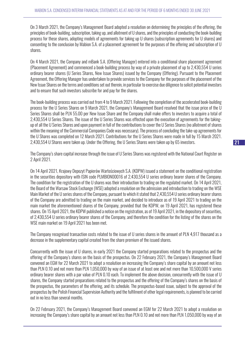On 3 March 2021, the Company's Management Board adopted a resolution on determining the principles of the offering, the principles of book-building, subscription, taking up, and allotment of U shares, and the principles of conducting the book-building process for these shares, adopting models of agreements for taking up U shares (subscription agreements for U shares) and consenting to the conclusion by Mabion S.A. of a placement agreement for the purposes of the offering and subscription of U shares.

On 4 March 2021, the Company and mBank S.A. (Offering Manager) entered into a conditional share placement agreement (Placement Agreement) and commenced a book-building process by way of a private placement of up to 2,430,554 U series ordinary bearer shares (U Series Shares, New Issue Shares) issued by the Company (Offering). Pursuant to the Placement Agreement, the Offering Manager has undertaken to provide services to the Company for the purposes of the placement of the New Issue Shares on the terms and conditions set out therein, in particular to exercise due diligence to solicit potential investors and to ensure that such investors subscribe for and pay for the shares.

The book-building process was carried out from 4 to 9 March 2021. Following the completion of the accelerated book-building process for the U Series Shares on 9 March 2021, the Company's Management Board resolved that the issue price of the U Series Shares shall be PLN 55.00 per New Issue Share and the Company shall make offers to investors to acquire a total of 2,430,554 U Series Shares. The issue of the U Series Shares was effected upon the execution of agreements for the takingup of all the U Series Shares and upon payment in full of the contributions to cover the U Series Shares (no allotment of shares within the meaning of the Commercial Companies Code was necessary). The process of concluding the take-up agreements for the U Shares was completed on 12 March 2021. Contributions for the U Series Shares were made in full by 15 March 2021. 2,430,554 U Shares were taken up. Under the Offering, the U Series Shares were taken up by 65 investors.

The Company's share capital increase through the issue of U Series Shares was registered with the National Court Register on 2 April 2021.

On 14 April 2021, Krajowy Depozyt Papierów Wartościowych S.A. (KDPW) issued a statement on the conditional registration in the securities depository with ISIN code PLMBION00016 of 2,430,554 U series ordinary bearer shares of the Company. The condition for the registration of the U shares was their introduction to trading on the regulated market. On 14 April 2021, the Board of the Warsaw Stock Exchange (WSE) adopted a resolution on the admission and introduction to trading on the WSE Main Market of the U series shares of the Company, pursuant to which it stated that 2,430,554 U series ordinary bearer shares of the Company are admitted to trading on the main market, and decided to introduce as of 19 April 2021 to trading on the main market the aforementioned shares of the Company, provided that the KDPW, on 19 April 2021, has registered these shares. On 15 April 2021, the KDPW published a notice on the registration, as of 19 April 2021, in the depository of securities, of 2,430,554 U series ordinary bearer shares of the Company, and therefore the condition for the listing of the shares on the WSE main market on 19 April 2021 has been met.

The Company recognised transaction costs related to the issue of U series shares in the amount of PLN 4,917 thousand as a decrease in the supplementary capital created from the share premium of the issued shares.

Concurrently with the issue of U shares, in early 2021 the Company started preparations related to the prospectus and the offering of the Company's shares on the basis of the prospectus. On 22 February 2021, the Company's Management Board convened an EGM for 22 March 2021 to adopt a resolution on increasing the Company's share capital by an amount not less than PLN 0.10 and not more than PLN 1,050,000 by way of an issue of at least one and not more than 10,500,000 V series ordinary bearer shares with a par value of PLN 0.10 each. To implement the above decision, concurrently with the issue of U shares, the Company started preparations related to the prospectus and the offering of the Company's shares on the basis of the prospectus, the parameters of the offering, and its schedule. The prospectus-based issue, subject to the approval of the prospectus by the Polish Financial Supervision Authority and the fulfilment of other legal requirements, is planned to be carried out in no less than several months.

On 22 February 2021, the Company's Management Board convened an EGM for 22 March 2021 to adopt a resolution on increasing the Company's share capital by an amount not less than PLN 0.10 and not more than PLN 1,050,000 by way of an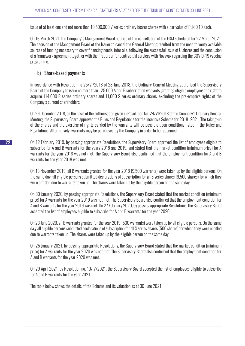issue of at least one and not more than 10,500,000 V series ordinary bearer shares with a par value of PLN 0.10 each.

On 16 March 2021, the Company's Management Board notified of the cancellation of the EGM scheduled for 22 March 2021. The decision of the Management Board of the Issuer to cancel the General Meeting resulted from the need to verify available sources of funding necessary to cover financing needs, inter alia, following the successful issue of U shares and the conclusion of a framework agreement together with the first order for contractual services with Novavax regarding the COVID-19 vaccine programme.

## b) Share-based payments

In accordance with Resolution no 25/VI/2018 of 28 June 2018, the Ordinary General Meeting authorised the Supervisory Board of the Company to issue no more than 125 000 A and B subscription warrants, granting eligible employees the right to acquire 114,000 R series ordinary shares and 11,000 S series ordinary shares, excluding the pre-emptive rights of the Company's current shareholders.

On 29 December 2018, on the basis of the authorisation given in Resolution No. 24/VI/2018 of the Company's Ordinary General Meeting, the Supervisory Board approved the Rules and Regulations for the Incentive Scheme for 2018–2021. The taking-up of the shares and the exercise of rights carried by the warrants will be possible upon conditions listed in the Rules and Regulations. Alternatively, warrants may be purchased by the Company in order to be redeemed.

On 12 February 2019, by passing appropriate Resolutions, the Supervisory Board approved the list of employees eligible to subscribe for A and B warrants for the years 2018 and 2019, and stated that the market condition (minimum price) for A warrants for the year 2018 was not met. The Supervisory Board also confirmed that the employment condition for A and B warrants for the year 2018 was met.

On 18 November 2019, all B warrants granted for the year 2018 (9,500 warrants) were taken up by the eligible persons. On the same day, all eligible persons submitted declarations of subscription for all S series shares (9,500 shares) for which they were entitled due to warrants taken up. The shares were taken up by the eligible person on the same day.

On 30 January 2020, by passing appropriate Resolutions, the Supervisory Board stated that the market condition (minimum price) for A warrants for the year 2019 was not met. The Supervisory Board also confirmed that the employment condition for A and B warrants for the year 2019 was met. On 27 February 2020, by passing appropriate Resolutions, the Supervisory Board accepted the list of employees eligible to subscribe for A and B warrants for the year 2020.

On 23 June 2020, all B warrants granted for the year 2019 (500 warrants) were taken up by all eligible persons. On the same da,y all eligible persons submitted declarations of subscription for all S series shares (500 shares) for which they were entitled due to warrants taken up. The shares were taken up by the eligible person on the same day.

On 25 January 2021, by passing appropriate Resolutions, the Supervisory Board stated that the market condition (minimum price) for A warrants for the year 2020 was not met. The Supervisory Board also confirmed that the employment condition for A and B warrants for the year 2020 was met.

On 29 April 2021, by Resolution no. 10/IV/2021, the Supervisory Board accepted the list of employees eligible to subscribe for A and B warrants for the year 2021.

The table below shows the details of the Scheme and its valuation as at 30 June 2021: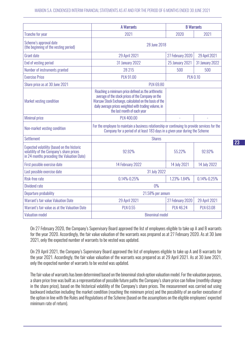|                                                                                                                                      | <b>A Warrants</b><br><b>B</b> Warrants                                                                                                                                                                                                                   |                        |                        |  |
|--------------------------------------------------------------------------------------------------------------------------------------|----------------------------------------------------------------------------------------------------------------------------------------------------------------------------------------------------------------------------------------------------------|------------------------|------------------------|--|
| <b>Tranche for year</b>                                                                                                              | 2021                                                                                                                                                                                                                                                     | 2020                   | 2021                   |  |
| Scheme's approval date<br>(the beginning of the vesting period)                                                                      | 28 June 2018                                                                                                                                                                                                                                             |                        |                        |  |
| <b>Grant date</b>                                                                                                                    | 29 April 2021                                                                                                                                                                                                                                            | 27 February 2020       | 29 April 2021          |  |
| End of vesting period                                                                                                                | <b>31 January 2022</b>                                                                                                                                                                                                                                   | <b>25 January 2021</b> | <b>31 January 2022</b> |  |
| Number of instruments granted                                                                                                        | 28 215                                                                                                                                                                                                                                                   | 500                    | 500                    |  |
| <b>Exercise Price</b>                                                                                                                | <b>PLN 91.00</b>                                                                                                                                                                                                                                         | <b>PLN 0.10</b>        |                        |  |
| Share price as at 30 June 2021                                                                                                       | <b>PLN 69.80</b>                                                                                                                                                                                                                                         |                        |                        |  |
| Market vesting condition                                                                                                             | Reaching a minimum price defined as the arithmetic<br>average of the stock prices of the Company on the<br>Warsaw Stock Exchange, calculated on the basis of the<br>daily average prices weighted with trading volume, in<br>the last month of each year |                        |                        |  |
| <b>Minimal price</b>                                                                                                                 | <b>PLN 400.00</b>                                                                                                                                                                                                                                        | L,                     |                        |  |
| Non-market vesting condition                                                                                                         | For the employee to maintain a business relationship or continuing to provide services for the<br>Company for a period of at least 183 days in a given year during the Scheme                                                                            |                        |                        |  |
| <b>Settlement</b>                                                                                                                    | <b>Shares</b>                                                                                                                                                                                                                                            |                        |                        |  |
| Expected volatility (based on the historic<br>volatility of the Company's share prices<br>in 24 months preceding the Valuation Date) | 92.92%                                                                                                                                                                                                                                                   | 55.22%                 | 92.92%                 |  |
| First possible exercise date                                                                                                         | 14 February 2022                                                                                                                                                                                                                                         | 14 July 2021           | 14 July 2022           |  |
| Last possible exercise date                                                                                                          | 31 July 2022                                                                                                                                                                                                                                             |                        |                        |  |
| Risk-free rate                                                                                                                       | $0.14\% - 0.25\%$                                                                                                                                                                                                                                        | 1.23%-1.84%            | $0.14\% - 0.25\%$      |  |
| <b>Dividend rate</b>                                                                                                                 | $0\%$                                                                                                                                                                                                                                                    |                        |                        |  |
| Departure probability                                                                                                                | 21.58% per annum                                                                                                                                                                                                                                         |                        |                        |  |
| Warrant's fair value Valuation Date                                                                                                  | 29 April 2021                                                                                                                                                                                                                                            | 27 February 2020       | 29 April 2021          |  |
| Warrant's fair value as at the Valuation Date                                                                                        | <b>PLN 0.55</b>                                                                                                                                                                                                                                          | <b>PLN 46.24</b>       | <b>PLN 63.08</b>       |  |
| <b>Valuation model</b>                                                                                                               | <b>Binominal model</b>                                                                                                                                                                                                                                   |                        |                        |  |

On 27 February 2020, the Company's Supervisory Board approved the list of employees eligible to take up A and B warrants for the year 2020. Accordingly, the fair value valuation of the warrants was prepared as at 27 February 2020. As at 30 June 2021, only the expected number of warrants to be vested was updated.

On 29 April 2021, the Company's Supervisory Board approved the list of employees eligible to take up A and B warrants for the year 2021. Accordingly, the fair value valuation of the warrants was prepared as at 29 April 2021. As at 30 June 2021, only the expected number of warrants to be vested was updated.

The fair value of warrants has been determined based on the binominal stock option valuation model. For the valuation purposes, a share price tree was built as a representation of possible future paths the Company's share price can follow (monthly change in the share price), based on the historical volatility of the Company's share prices. The measurement was carried out using backward induction including the market condition (reaching the minimum price) and the possibility of an earlier execution of the option in line with the Rules and Regulations of the Scheme (based on the assumptions on the eligible employees' expected minimum rate of return).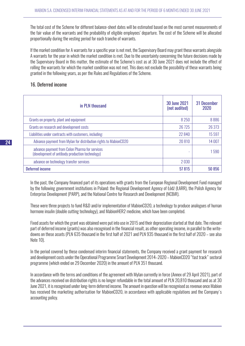The total cost of the Scheme for different balance-sheet dates will be estimated based on the most current measurements of the fair value of the warrants and the probability of eligible employees' departure. The cost of the Scheme will be allocated proportionally during the vesting period for each tranche of warrants.

If the market condition for A warrants for a specific year is not met, the Supervisory Board may grant these warrants alongside A warrants for the year in which the market condition is met. Due to the uncertainty concerning the future decisions made by the Supervisory Board in this matter, the estimate of the Scheme's cost as at 30 June 2021 does not include the effect of rolling the warrants for which the market condition was not met. This does not exclude the possibility of these warrants being granted in the following years, as per the Rules and Regulations of the Scheme.

## 16. Deferred income

| in PLN thousand                                                                                   | <b>30 June 2021</b><br>(not audited) | 31 December<br>2020 |
|---------------------------------------------------------------------------------------------------|--------------------------------------|---------------------|
| Grants on property, plant and equipment                                                           | 8 2 5 0                              | 8886                |
| Grants on research and development costs                                                          | 26 7 25                              | 26 373              |
| Liabilities under contracts with customers, including:                                            | 22 840                               | 15 597              |
| Advance payment from Mylan for distribution rights to MabionCD20                                  | 20810                                | 14 007              |
| advance payment from Celon Pharma for services<br>(development of antibody production technology) |                                      | 1590                |
| advance on technology transfer services                                                           | 2030                                 |                     |
| <b>Deferred income</b>                                                                            | 57815                                | 50 856              |

In the past, the Company financed part of its operations with grants from the European Regional Development Fund managed by the following government institutions in Poland: the Regional Development Agency of Łódź (ŁARR), the Polish Agency for Enterprise Development (PARP), and the National Centre for Research and Development (NCBiR).

These were three projects to fund R&D and/or implementation of MabionCD20, a technology to produce analogues of human hormone insulin (double cutting technology), and MabionHER2 medicine, which have been completed.

Fixed assets for which the grant was obtained were put into use in 2015 and their depreciation started at that date. The relevant part of deferred income (grants) was also recognised in the financial result, as other operating income, in parallel to the writedowns on these assets (PLN 635 thousand in the first half of 2021 and PLN 935 thousand in the first half of 2020 – see also Note 10).

In the period covered by these condensed interim financial statements, the Company received a grant payment for research and development costs under the Operational Programme Smart Development 2014–2020 – MabionCD20 "fast track" sectoral programme (which ended on 29 December 2020) in the amount of PLN 351 thousand.

In accordance with the terms and conditions of the agreement with Mylan currently in force (Annex of 29 April 2021), part of the advances received on distribution rights is no longer refundable in the total amount of PLN 20,810 thousand and as at 30 June 2021, it is recognised under long-term deferred income. The amount in question will be recognised as revenue once Mabion has received the marketing authorisation for MabionCD20, in accordance with applicable regulations and the Company's accounting policy.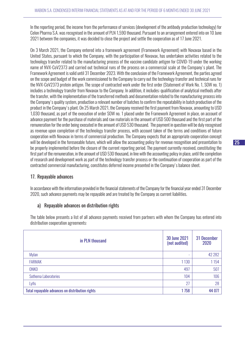In the reporting period, the income from the performance of services (development of the antibody production technology) for Celon Pharma S.A. was recognised in the amount of PLN 1,590 thousand. Pursuant to an arrangement entered into on 10 June 2021 between the companies, it was decided to close the project and settle the cooperation as of 17 June 2021.

On 3 March 2021, the Company entered into a framework agreement (Framework Agreement) with Novavax based in the United States, pursuant to which the Company, with the participation of Novavax, has undertaken activities related to the technology transfer related to the manufacturing process of the vaccine candidate antigen for COVID-19 under the working name of NVX-CoV2373 and carried out technical runs of the process on a commercial scale at the Company's plant. The Framework Agreement is valid until 31 December 2023. With the conclusion of the Framework Agreement, the parties agreed on the scope and budget of the work commissioned to the Company to carry out the technology transfer and technical runs for the NVX-CoV2373 protein antigen. The scope of contracted work under the first order (Statement of Work No. 1, SOW no. 1) includes a technology transfer from Novavax to the Company. In addition, it includes: qualification of analytical methods after the transfer, with the implementation of the transferred methods and documentation related to the manufacturing process into the Company's quality system, production a relevant number of batches to confirm the repeatability in batch production of the product in the Company's plant. On 25 March 2021, the Company received the first payment from Novavax, amounting to USD 1,030 thousand, as part of the execution of order SOW no. 1 placed under the Framework Agreement in place, on account of advance payment for the purchase of materials and raw materials in the amount of USD 500 thousand and the first part of the remuneration for the order being executed in the amount of USD 530 thousand. The payment in question will be duly recognised as revenue upon completion of the technology transfer process, with account taken of the terms and conditions of future cooperation with Novavax in terms of commercial production. The Company expects that an appropriate cooperation concept will be developed in the foreseeable future, which will allow the accounting policy for revenue recognition and presentation to be properly implemented before the closure of the current reporting period. The payment currently received, constituting the first part of the remuneration, in the amount of USD 530 thousand, in line with the accounting policy in place, until the completion of research and development work as part of the technology transfer process or the continuation of cooperation as part of the contracted commercial manufacturing, constitutes deferred income presented in the Company's balance sheet.

# 17. Repayable advances

In accordance with the information provided in the financial statements of the Company for the financial year ended 31 December 2020, such advance payments may be repayable and are treated by the Company as current liabilities.

# a) Repayable advances on distribution rights

The table below presents a list of all advance payments received from partners with whom the Company has entered into distribution cooperation agreements:

| in PLN thousand                                 | <b>30 June 2021</b><br>(not audited) | 31 December<br>2020 |
|-------------------------------------------------|--------------------------------------|---------------------|
| Mylan                                           | ۰                                    | 42 282              |
| <b>FARMAK</b>                                   | 1 1 3 0                              | 1 1 5 4             |
| ONKO                                            | 497                                  | 507                 |
| Sothema Laboratories                            | 104                                  | 106                 |
| Lyfis                                           | 27                                   | 28                  |
| Total repayable advances on distribution rights | 1758                                 | 44 077              |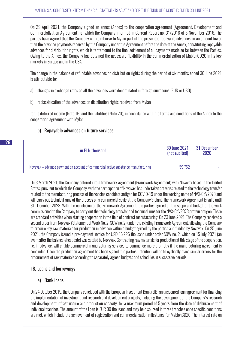On 29 April 2021, the Company signed an annex (Annex) to the cooperation agreement (Agreement, Development and Commercialization Agreement), of which the Company informed in Current Report no. 31/2016 of 8 November 2016. The parties have agreed that the Company will reimburse to Mylan part of the presented repayable advances, in an amount lower than the advance payments received by the Company under the Agreement before the date of the Annex, constituting repayable advances for distribution rights, which is tantamount to the final settlement of all payments made so far between the Parties. Owing to the Annex, the Company has obtained the necessary flexibility in the commercialization of MabionCD20 in its key markets in Europe and in the USA.

The change in the balance of refundable advances on distribution rights during the period of six months ended 30 June 2021 is attributable to:

- a) changes in exchange rates as all the advances were denominated in foreign currencies (EUR or USD).
- b) reclassification of the advances on distribution rights received from Mylan

to the deferred income (Note 16) and the liabilities (Note 20), in accordance with the terms and conditions of the Annex to the cooperation agreement with Mylan.

# b) Repayable advances on future services

| in PLN thousand                                                                   | 30 June 2021<br>(not audited) | 31 December<br>2020 |
|-----------------------------------------------------------------------------------|-------------------------------|---------------------|
| Novavax – advance payment on account of commercial active substance manufacturing | 59752                         |                     |

On 3 March 2021, the Company entered into a framework agreement (Framework Agreement) with Novavax based in the United States, pursuant to which the Company, with the participation of Novavax, has undertaken activities related to the technology transfer related to the manufacturing process of the vaccine candidate antigen for COVID-19 under the working name of NVX-CoV2373 and will carry out technical runs of the process on a commercial scale at the Company's plant. The Framework Agreement is valid until 31 December 2023. With the conclusion of the Framework Agreement, the parties agreed on the scope and budget of the work commissioned to the Company to carry out the technology transfer and technical runs for the NVX-CoV2373 protein antigen. These are standard activities when starting cooperation in the field of contract manufacturing. On 23 June 2021, The Company received a second order from Novavax (Statement of Work No. 2, SOW no. 2) under the existing Framework Agreement, allowing the Company to procure key raw materials for production in advance within a budget agreed by the parties and funded by Novavax. On 25 June 2021, the Company issued a pre-payment invoice for USD 15,226 thousand under order SOW no. 2, which on 15 July 2021 (an event after the balance-sheet date) was settled by Novavax. Contracting raw materials for production at this stage of the cooperation, i.e. in advance, will enable commercial manufacturing services to commence more promptly if the manufacturing agreement is concluded. Once the production agreement has been signed, the parties' intention will be to cyclically place similar orders for the procurement of raw materials according to separately agreed budgets and schedules in successive periods.

# 18. Loans and borrowings

# a) Bank loans

On 24 October 2019, the Company concluded with the European Investment Bank (EIB) an unsecured loan agreement for financing the implementation of investment and research and development projects, including the development of the Company's research and development infrastructure and production capacity, for a maximum period of 5 years from the date of disbursement of individual tranches. The amount of the Loan is EUR 30 thousand and may be disbursed in three tranches once specific conditions are met, which include the achievement of registration and commercialisation milestones for MabionCD20. The interest rate on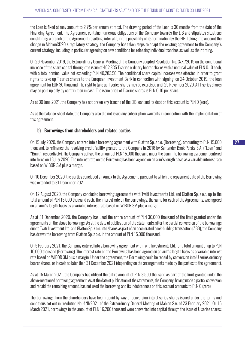the Loan is fixed at may amount to 2.7% per annum at most. The drawing period of the Loan is 36 months from the date of the Financing Agreement. The Agreement contains numerous obligations of the Company towards the EIB and stipulates situations constituting a breach of the Agreement resulting, inter alia, in the possibility of its termination by the EIB. Taking into account the change in MabionCD20's regulatory strategy, the Company has taken steps to adapt the existing agreement to the Company's current strategy, including in particular agreeing on new conditions for releasing individual tranches as well as their timing.

On 29 November 2019, the Extraordinary General Meeting of the Company adopted Resolution No. 3/XI/2019 on the conditional increase of the share capital through the issue of 402,835 T series ordinary bearer shares with a nominal value of PLN 0.10 each, with a total nominal value not exceeding PLN 40,283.50. The conditional share capital increase was effected in order to grant rights to take up T series shares to the European Investment Bank in connection with signing, on 24 October 2019, the loan agreement for EUR 30 thousand. The right to take up T series shares may be exercised until 29 November 2029. All T series shares may be paid up only by contribution in cash. The issue price of T series shares is PLN 0.10 per share.

As at 30 June 2021, the Company has not drawn any tranche of the EIB loan and its debt on this account is PLN 0 (zero).

As at the balance-sheet date, the Company also did not issue any subscription warrants in connection with the implementation of this agreement.

#### b) Borrowings from shareholders and related parties

On 15 July 2020, the Company entered into a borrowing agreement with Glatton Sp. z o.o. (Borrowing), amounting to PLN 15,000 thousand, to refinance the revolving credit facility granted to the Company in 2018 by Santander Bank Polska S.A. ("Loan" and "Bank", respectively). The Company utilised the amount of PLN 15,000 thousand under the Loan. The borrowing agreement entered into force on 16 July 2020. The interest rate on the Borrowing has been agreed on an arm's length basis as a variable interest rate based on WIBOR 3M plus a margin.

On 10 December 2020, the parties concluded an Annex to the Agreement, pursuant to which the repayment date of the Borrowing was extended to 31 December 2021.

On 12 August 2020, the Company concluded borrowing agreements with Twiti Investments Ltd. and Glatton Sp. z o.o. up to the total amount of PLN 15,000 thousand each. The interest rate on the borrowings, the same for each of the Agreements, was agreed on an arm's length basis as a variable interest rate based on WIBOR 3M plus a margin.

As at 31 December 2020, the Company has used the entire amount of PLN 30,000 thousand of the limit granted under the agreements on the above borrowings. As at the date of publication of the statements, after the partial conversion of the borrowings due to Twiti Investment Ltd. and Glatton Sp. z o.o. into shares as part of an accelerated book-building transaction (ABB), the Company has drawn the borrowing from Glatton Sp. z o.o. in the amount of PLN 15,000 thousand.

On 5 February 2021, the Company entered into a borrowing agreement with Twiti Investments Ltd. for a total amount of up to PLN 10,000 thousand (Borrowing). The interest rate on the Borrowing has been agreed on an arm's length basis as a variable interest rate based on WIBOR 3M plus a margin. Under the agreement, the Borrowing could be repaid by conversion into U series ordinary bearer shares, or in cash no later than 31 December 2021 (depending on the arrangements made by the parties to the agreement).

As at 15 March 2021, the Company has utilised the entire amount of PLN 3,500 thousand as part of the limit granted under the above-mentioned borrowing agreement. As at the date of publication of the statements, the Company, having made a partial conversion and repaid the remaining amount, has not used the borrowing and its indebtedness on this account amounts to PLN 0 (zero).

The borrowings from the shareholders have been repaid by way of conversion into U series shares issued under the terms and conditions set out in resolution No. 4/II/2021 of the Extraordinary General Meeting of Mabion S.A. of 23 February 2021. On 15 March 2021, borrowings in the amount of PLN 16,200 thousand were converted into capital through the issue of U series shares: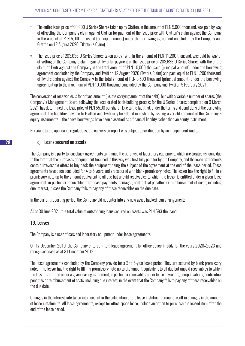- » The entire issue price of 90,909 U Series Shares taken up by Glatton, in the amount of PLN 5,000 thousand, was paid by way of offsetting the Company's claim against Glatton for payment of the issue price with Glatton's claim against the Company in the amount of PLN 5,000 thousand (principal amount) under the borrowing agreement concluded by the Company and Glatton on 12 August 2020 (Glatton's Claim).
- » The issue price of 203,636 U Series Shares taken up by Twiti, in the amount of PLN 11,200 thousand, was paid by way of offsetting of the Company's claim against Twiti for payment of the issue price of 203,636 U Series Shares with the entire claim of Twiti against the Company in the total amount of PLN 10,000 thousand (principal amount) under the borrowing agreement concluded by the Company and Twiti on 12 August 2020 (Twiti's Claim) and part, equal to PLN 1,200 thousand, of Twiti's claim against the Company in the total amount of PLN 3,500 thousand (principal amount) under the borrowing agreement up to the maximum of PLN 10,000 thousand concluded by the Company and Twiti on 5 February 2021.

The conversion of receivables is for a fixed amount (i.e. the carrying amount of the debt), but with a variable number of shares (the Company's Management Board, following the accelerated book-building process for the U Series Shares completed on 9 March 2021, has determined the issue price at PLN 55.00 per share). Due to the fact that, under the terms and conditions of the borrowing agreement, the liabilities payable to Glatton and Twiti may be settled in cash or by issuing a variable amount of the Company's equity instruments – the above borrowings have been classified as a financial liability rather than an equity instrument.

Pursuant to the applicable regulations, the conversion report was subject to verification by an independent Auditor.

#### c) Loans secured on assets

The Company is a party to leaseback agreements to finance the purchase of laboratory equipment, which are treated as loans due to the fact that the purchases of equipment financed in this way was first fully paid for by the Company, and the lease agreements contain irrevocable offers to buy back the equipment being the subject of the agreement at the end of the lease period. These agreements have been concluded for 4 to 5 years and are secured with blank promissory notes. The lessor has the right to fill in a promissory note up to the amount equivalent to all due but unpaid receivables to which the lessor is entitled under a given lease agreement, in particular receivables from lease payments, damages, contractual penalties or reimbursement of costs, including due interest, in case the Company fails to pay any of these receivables on the due date.

In the current reporting period, the Company did not enter into any new asset-backed loan arrangements.

As at 30 June 2021, the total value of outstanding loans secured on assets was PLN 593 thousand.

#### 19. Leases

The Company is a user of cars and laboratory equipment under lease agreements.

On 17 December 2019, the Company entered into a lease agreement for office space in Łódź for the years 2020–2023 and recognised lease as at 31 December 2019.

The lease agreements concluded by the Company provide for a 3 to 5-year lease period. They are secured by blank promissory notes. The lessor has the right to fill in a promissory note up to the amount equivalent to all due but unpaid receivables to which the lessor is entitled under a given leasing agreement, in particular receivables under lease payments, compensations, contractual penalties or reimbursement of costs, including due interest, in the event that the Company fails to pay any of these receivables on the due date.

Changes in the interest rate taken into account in the calculation of the lease instalment amount result in changes in the amount of lease instalments. All lease agreements, except for office space lease, include an option to purchase the leased item after the end of the lease period.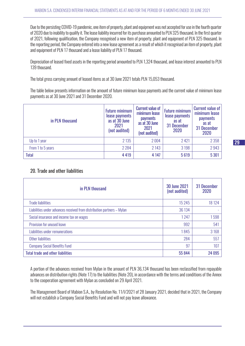Due to the persisting COVID-19 pandemic, one item of property, plant and equipment was not accepted for use in the fourth quarter of 2020 due to inability to qualify it. The lease liability incurred for its purchase amounted to PLN 325 thousand. In the first quarter of 2021, following qualification, the Company recognised a new item of property, plant and equipment of PLN 325 thousand. In the reporting period, the Company entered into a new lease agreement as a result of which it recognised an item of property, plant and equipment of PLN 17 thousand and a lease liability of PLN 17 thousand.

Depreciation of leased fixed assets in the reporting period amounted to PLN 1,324 thousand, and lease interest amounted to PLN 139 thousand.

The total gross carrying amount of leased items as at 30 June 2021 totals PLN 15,053 thousand.

The table below presents information on the amount of future minimum lease payments and the current value of minimum lease payments as at 30 June 2021 and 31 December 2020.

| in PLN thousand   | <b>Future minimum</b><br>lease payments<br>as at 30 June<br>2021<br>(not audited) | <b>Current value of</b><br>minimum lease<br><b>payments</b><br>as at 30 June<br>2021<br>(not audited) | <b>Future minimum</b><br>lease payments<br>as at<br>31 December<br>2020 | <b>Current value of</b><br>minimum lease<br><b>payments</b><br>as at<br>31 December<br>2020 |
|-------------------|-----------------------------------------------------------------------------------|-------------------------------------------------------------------------------------------------------|-------------------------------------------------------------------------|---------------------------------------------------------------------------------------------|
| Up to 1 year      | 2 1 3 5                                                                           | 2004                                                                                                  | 2421                                                                    | 2 3 5 8                                                                                     |
| From 1 to 5 years | 2 2 8 4                                                                           | 2 1 4 3                                                                                               | 3 1 9 8                                                                 | 2943                                                                                        |
| <b>Total</b>      | 4 4 1 9                                                                           | 4 1 4 7                                                                                               | 5619                                                                    | 5 3 0 1                                                                                     |

## 20. Trade and other liabilities

| in PLN thousand                                                        | <b>30 June 2021</b><br>(not audited) | 31 December<br>2020 |
|------------------------------------------------------------------------|--------------------------------------|---------------------|
| <b>Trade liabilities</b>                                               | 15 2 4 5                             | 18 124              |
| Liabilities under advances received from distribution partners - Mylan | 36 134                               |                     |
| Social insurance and income tax on wages                               | 1247                                 | 1598                |
| Provision for unused leave                                             | 992                                  | 541                 |
| Liabilities under remunerations                                        | 1845                                 | 3 1 6 8             |
| Other liabilities                                                      | 284                                  | 557                 |
| <b>Company Social Benefits Fund</b>                                    | 97                                   | 107                 |
| <b>Total trade and other liabilities</b>                               | 55 844                               | 24 095              |

A portion of the advances received from Mylan in the amount of PLN 36,134 thousand has been reclassified from repayable advances on distribution rights (Note 17) to the liabilities (Note 20), in accordance with the terms and conditions of the Annex to the cooperation agreement with Mylan as concluded on 29 April 2021.

The Management Board of Mabion S.A., by Resolution No. 11/I/2021 of 28 January 2021, decided that in 2021, the Company will not establish a Company Social Benefits Fund and will not pay leave allowance.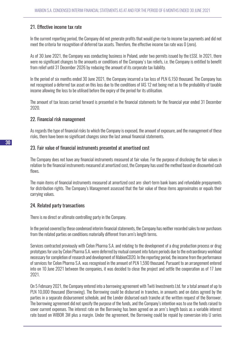# 21. Effective income tax rate

In the current reporting period, the Company did not generate profits that would give rise to income tax payments and did not meet the criteria for recognition of deferred tax assets. Therefore, the effective income tax rate was 0 (zero).

As of 30 June 2021, the Company was conducting business in Poland, under two permits issued by the ŁSSE. In 2021, there were no significant changes to the amounts or conditions of the Company's tax reliefs, i.e. the Company is entitled to benefit from relief until 31 December 2026 by reducing the amount of its corporate tax liability.

In the period of six months ended 30 June 2021, the Company incurred a tax loss of PLN 6,150 thousand. The Company has not recognised a deferred tax asset on this loss due to the conditions of IAS 12 not being met as to the probability of taxable income allowing the loss to be utilised before the expiry of the period for its utilisation.

The amount of tax losses carried forward is presented in the financial statements for the financial year ended 31 December 2020.

#### 22. Financial risk management

As regards the type of financial risks to which the Company is exposed, the amount of exposure, and the management of these risks, there have been no significant changes since the last annual financial statements.

#### 23. Fair value of financial instruments presented at amortised cost

The Company does not have any financial instruments measured at fair value. For the purpose of disclosing the fair values in relation to the financial instruments measured at amortized cost, the Company has used the method based on discounted cash flows.

The main items of financial instruments measured at amortized cost are: short-term bank loans and refundable prepayments for distribution rights. The Company's Management assessed that the fair value of these items approximates or equals their carrying values.

# 24. Related party transactions

There is no direct or ultimate controlling party in the Company.

In the period covered by these condensed interim financial statements, the Company has neither recorded sales to nor purchases from the related parties on conditions materially different from arm's length terms.

Services contracted previously with Celon Pharma S.A. and relating to the development of a drug production process or drug prototypes for use by Celon Pharma S.A. were deferred by mutual consent into future periods due to the extraordinary workload necessary for completion of research and development of MabionCD20. In the reporting period, the income from the performance of services for Celon Pharma S.A. was recognised in the amount of PLN 1,590 thousand. Pursuant to an arrangement entered into on 10 June 2021 between the companies, it was decided to close the project and settle the cooperation as of 17 June 2021.

On 5 February 2021, the Company entered into a borrowing agreement with Twiti Investments Ltd. for a total amount of up to PLN 10,000 thousand (Borrowing). The Borrowing could be disbursed in tranches, in amounts and on dates agreed by the parties in a separate disbursement schedule, and the Lender disbursed each tranche at the written request of the Borrower. The borrowing agreement did not specify the purpose of the funds, and the Company's intention was to use the funds raised to cover current expenses. The interest rate on the Borrowing has been agreed on an arm's length basis as a variable interest rate based on WIBOR 3M plus a margin. Under the agreement, the Borrowing could be repaid by conversion into U series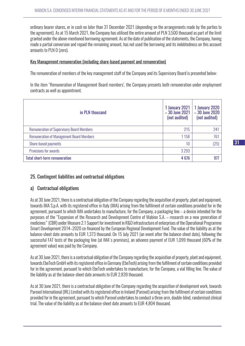ordinary bearer shares, or in cash no later than 31 December 2021 (depending on the arrangements made by the parties to the agreement). As at 15 March 2021, the Company has utilised the entire amount of PLN 3,500 thousand as part of the limit granted under the above-mentioned borrowing agreement. As at the date of publication of the statements, the Company, having made a partial conversion and repaid the remaining amount, has not used the borrowing and its indebtedness on this account amounts to PLN 0 (zero).

#### Key Management remuneration (including share-based payment and remuneration)

The remuneration of members of the key management staff of the Company and its Supervisory Board is presented below:

In the item 'Remuneration of Management Board members', the Company presents both remuneration under employment contracts as well as appointment.

| in PLN thousand                                  | 1 January 2021<br>$-30$ June 2021<br>(not audited) | 1 January 2020<br>$-30$ June 2020<br>(not audited) |
|--------------------------------------------------|----------------------------------------------------|----------------------------------------------------|
| <b>Remuneration of Supervisory Board Members</b> | 215                                                | 241                                                |
| <b>Remuneration of Management Board Members</b>  | 1158                                               | 761                                                |
| Share-based payments                             | 10                                                 | (25)                                               |
| Provisions for awards                            | 3 2 9 3                                            |                                                    |
| <b>Total short-term remuneration</b>             | 4676                                               | 977                                                |

# 25. Contingent liabilities and contractual obligations

#### a) Contractual obligations

As at 30 June 2021, there is a contractual obligation of the Company regarding the acquisition of property, plant and equipment, towards IMA S.p.A. with its registered office in Italy (IMA) arising from the fulfilment of certain conditions provided for in the agreement, pursuant to which IMA undertakes to manufacture, for the Company, a packaging line – a device intended for the purposes of the "Expansion of the Research and Development Centre of Mabion S.A. – research on a new generation of medicines" (CBR) under Measure 2.1 Support for investment in R&D infrastructure of enterprises of the Operational Programme Smart Development 2014–2020 co-financed by the European Regional Development Fund. The value of the liability as at the balance-sheet date amounts to EUR 1,373 thousand. On 15 July 2021 (an event after the balance-sheet date), following the successful FAT tests of the packaging line (at IMA's premises), an advance payment of EUR 1,099 thousand (60% of the agreement value) was paid by the Company.

As at 30 June 2021, there is a contractual obligation of the Company regarding the acquisition of property, plant and equipment, towards EbeTech GmbH with its registered office in Germany (EbeTech) arising from the fulfilment of certain conditions provided for in the agreement, pursuant to which EbeTech undertakes to manufacture, for the Company, a vial filling line. The value of the liability as at the balance-sheet date amounts to EUR 2,839 thousand.

As at 30 June 2021, there is a contractual obligation of the Company regarding the acquisition of development work, towards Parexel International (IRL) Limited with its registered office in Ireland (Parexel) arising from the fulfilment of certain conditions provided for in the agreement, pursuant to which Parexel undertakes to conduct a three-arm, double-blind, randomised clinical trial. The value of the liability as at the balance-sheet date amounts to EUR 4,804 thousand.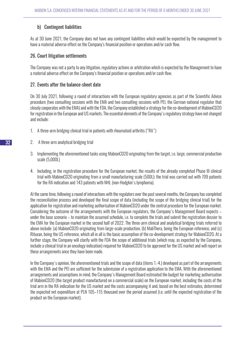# b) Contingent liabilities

As at 30 June 2021, the Company does not have any contingent liabilities which would be expected by the management to have a material adverse effect on the Company's financial position or operations and/or cash flow.

# 26. Court litigation settlements

The Company was not a party to any litigation, regulatory actions or arbitration which is expected by the Management to have a material adverse effect on the Company's financial position or operations and/or cash flow.

# 27. Events after the balance-sheet date

On 30 July 2021, following a round of interactions with the European regulatory agencies as part of the Scientific Advice procedure (two consulting sessions with the EMA and two consulting sessions with PEI, the German national regulator that closely cooperates with the EMA) and with the FDA, the Company established a strategy for the co-development of MabionCD20 for registration in the European and US markets. The essential elements of the Company's regulatory strategy have not changed and include:

- 1. A three-arm bridging clinical trial in patients with rheumatoid arthritis ("RA")
- 2. A three-arm analytical bridging trial
- 3. Implementing the aforementioned tasks using MabionCD20 originating from the target, i.e. large, commercial production scale (5,000L)
- 4. Including, in the registration procedure for the European market, the results of the already completed Phase III clinical trial with MabionCD20 originating from a small manufacturing scale (500L); the trial was carried out with 709 patients for the RA indication and 143 patients with NHL (non-Hodgkin's lymphoma).

At the same time, following a round of interactions with the regulators over the past several months, the Company has completed the reconciliation process and developed the final scope of data (including the scope of the bridging clinical trial) for the application for registration and marketing authorisation of MabionCD20 under the central procedure for the European market. Considering the outcome of the arrangements with the European regulators, the Company's Management Board expects – under the base scenario – to maintain the assumed schedule, i.e. to complete the trials and submit the registration dossier to the EMA for the European market in the second half of 2022. The three-arm clinical and analytical bridging trials referred to above include: (a) MabionCD20 originating from large-scale production, (b) MabThera, being the European reference, and (c) Rituxan, being the US reference, which all in all is the basic assumption of the co-development strategy for MabionCD20. At a further stage, the Company will clarify with the FDA the scope of additional trials (which may, as expected by the Company, include a clinical trial in an oncology indication) required for MabionCD20 to be approved for the US market and will report on these arrangements once they have been made.

In the Company's opinion, the aforementioned trials and the scope of data (items 1.-4.) developed as part of the arrangements with the EMA and the PEI are sufficient for the submission of a registration application to the EMA. With the aforementioned arrangements and assumptions in mind, the Company's Management Board estimated the budget for marketing authorisation of MabionCD20 (the target product manufactured on a commercial scale) on the European market, including the costs of the trial arm in the RA indication for the US market and the costs accompanying it and, based on the best estimates, determined the expected net expenditure at PLN 105–115 thousand over the period assumed (i.e. until the expected registration of the product on the European market).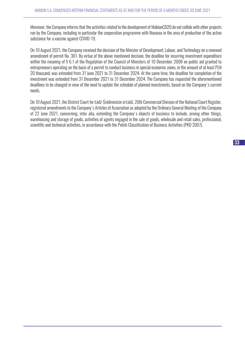Moreover, the Company informs that the activities related to the development of MabionCD20 do not collide with other projects run by the Company, including in particular the cooperation programme with Novavax in the area of production of the active substance for a vaccine against COVID-19.

On 10 August 2021, the Company received the decision of the Minister of Development, Labour, and Technology on a renewed amendment of permit No. 301. By virtue of the above mentioned decision, the deadline for incurring investment expenditure within the meaning of § 6.1 of the Regulation of the Council of Ministers of 10 December 2008 on public aid granted to entrepreneurs operating on the basis of a permit to conduct business in special economic zones, in the amount of at least PLN 20 thousand, was extended from 31 June 2021 to 31 December 2024. At the same time, the deadline for completion of the investment was extended from 31 December 2021 to 31 December 2024. The Company has requested the aforementioned deadlines to be changed in view of the need to update the schedule of planned investments, based on the Company's current needs.

On 10 August 2021, the District Court for Łódź-Śródmieście in Łódź, 20th Commercial Division of the National Court Register, registered amendments to the Company's Articles of Association as adopted by the Ordinary General Meeting of the Company of 22 June 2021, concerning, inter alia, extending the Company's objects of business to include, among other things, warehousing and storage of goods, activities of agents engaged in the sale of goods, wholesale and retail sales, professional, scientific and technical activities, in accordance with the Polish Classification of Business Activities (PKD 2007).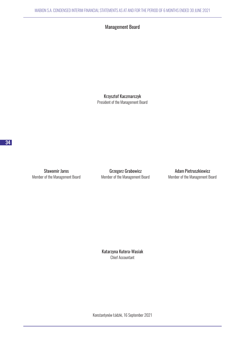# Management Board

Krzysztof Kaczmarczyk President of the Management Board

Sławomir Jaros **Grzegorz Grabowicz** Grabowicz Adam Pietruszkiewicz

Member of the Management Board Member of the Management Board Member of the Management Board

Katarzyna Kutera-Wasiak Chief Accountant

Konstantynów Łódzki, 16 September 2021